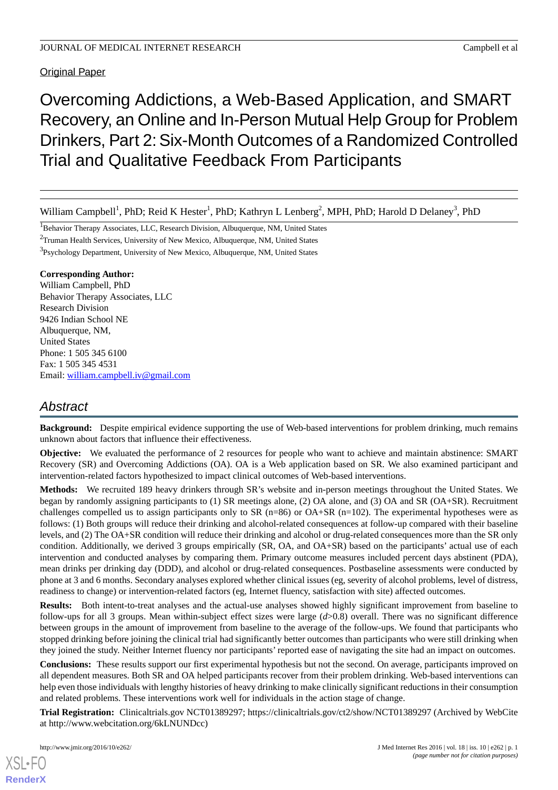Original Paper

# Overcoming Addictions, a Web-Based Application, and SMART Recovery, an Online and In-Person Mutual Help Group for Problem Drinkers, Part 2:Six-Month Outcomes of a Randomized Controlled Trial and Qualitative Feedback From Participants

William Campbell<sup>1</sup>, PhD; Reid K Hester<sup>1</sup>, PhD; Kathryn L Lenberg<sup>2</sup>, MPH, PhD; Harold D Delaney<sup>3</sup>, PhD

<sup>1</sup>Behavior Therapy Associates, LLC, Research Division, Albuquerque, NM, United States

<sup>2</sup>Truman Health Services, University of New Mexico, Albuquerque, NM, United States

<sup>3</sup>Psychology Department, University of New Mexico, Albuquerque, NM, United States

#### **Corresponding Author:**

William Campbell, PhD Behavior Therapy Associates, LLC Research Division 9426 Indian School NE Albuquerque, NM, United States Phone: 1 505 345 6100 Fax: 1 505 345 4531 Email: [william.campbell.iv@gmail.com](mailto:william.campbell.iv@gmail.com)

## *Abstract*

**Background:** Despite empirical evidence supporting the use of Web-based interventions for problem drinking, much remains unknown about factors that influence their effectiveness.

**Objective:** We evaluated the performance of 2 resources for people who want to achieve and maintain abstinence: SMART Recovery (SR) and Overcoming Addictions (OA). OA is a Web application based on SR. We also examined participant and intervention-related factors hypothesized to impact clinical outcomes of Web-based interventions.

**Methods:** We recruited 189 heavy drinkers through SR's website and in-person meetings throughout the United States. We began by randomly assigning participants to (1) SR meetings alone, (2) OA alone, and (3) OA and SR (OA+SR). Recruitment challenges compelled us to assign participants only to SR ( $n=86$ ) or OA+SR ( $n=102$ ). The experimental hypotheses were as follows: (1) Both groups will reduce their drinking and alcohol-related consequences at follow-up compared with their baseline levels, and (2) The OA+SR condition will reduce their drinking and alcohol or drug-related consequences more than the SR only condition. Additionally, we derived 3 groups empirically (SR, OA, and OA+SR) based on the participants' actual use of each intervention and conducted analyses by comparing them. Primary outcome measures included percent days abstinent (PDA), mean drinks per drinking day (DDD), and alcohol or drug-related consequences. Postbaseline assessments were conducted by phone at 3 and 6 months. Secondary analyses explored whether clinical issues (eg, severity of alcohol problems, level of distress, readiness to change) or intervention-related factors (eg, Internet fluency, satisfaction with site) affected outcomes.

**Results:** Both intent-to-treat analyses and the actual-use analyses showed highly significant improvement from baseline to follow-ups for all 3 groups. Mean within-subject effect sizes were large (*d*>0.8) overall. There was no significant difference between groups in the amount of improvement from baseline to the average of the follow-ups. We found that participants who stopped drinking before joining the clinical trial had significantly better outcomes than participants who were still drinking when they joined the study. Neither Internet fluency nor participants' reported ease of navigating the site had an impact on outcomes.

**Conclusions:** These results support our first experimental hypothesis but not the second. On average, participants improved on all dependent measures. Both SR and OA helped participants recover from their problem drinking. Web-based interventions can help even those individuals with lengthy histories of heavy drinking to make clinically significant reductions in their consumption and related problems. These interventions work well for individuals in the action stage of change.

**Trial Registration:** Clinicaltrials.gov NCT01389297; https://clinicaltrials.gov/ct2/show/NCT01389297 (Archived by WebCite at http://www.webcitation.org/6kLNUNDcc)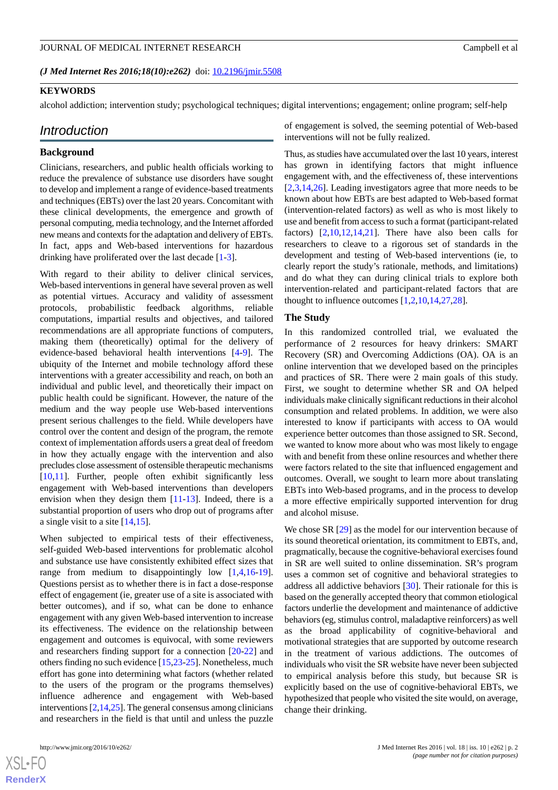#### *(J Med Internet Res 2016;18(10):e262)* doi:  $10.2196/$ jmir.5508

#### **KEYWORDS**

alcohol addiction; intervention study; psychological techniques; digital interventions; engagement; online program; self-help

#### *Introduction*

#### **Background**

Clinicians, researchers, and public health officials working to reduce the prevalence of substance use disorders have sought to develop and implement a range of evidence-based treatments and techniques (EBTs) over the last 20 years. Concomitant with these clinical developments, the emergence and growth of personal computing, media technology, and the Internet afforded new means and contexts for the adaptation and delivery of EBTs. In fact, apps and Web-based interventions for hazardous drinking have proliferated over the last decade [[1-](#page-16-0)[3](#page-16-1)].

With regard to their ability to deliver clinical services, Web-based interventions in general have several proven as well as potential virtues. Accuracy and validity of assessment protocols, probabilistic feedback algorithms, reliable computations, impartial results and objectives, and tailored recommendations are all appropriate functions of computers, making them (theoretically) optimal for the delivery of evidence-based behavioral health interventions [[4-](#page-16-2)[9](#page-17-0)]. The ubiquity of the Internet and mobile technology afford these interventions with a greater accessibility and reach, on both an individual and public level, and theoretically their impact on public health could be significant. However, the nature of the medium and the way people use Web-based interventions present serious challenges to the field. While developers have control over the content and design of the program, the remote context of implementation affords users a great deal of freedom in how they actually engage with the intervention and also precludes close assessment of ostensible therapeutic mechanisms [[10](#page-17-1)[,11](#page-17-2)]. Further, people often exhibit significantly less engagement with Web-based interventions than developers envision when they design them [\[11](#page-17-2)[-13](#page-17-3)]. Indeed, there is a substantial proportion of users who drop out of programs after a single visit to a site [\[14](#page-17-4)[,15](#page-17-5)].

When subjected to empirical tests of their effectiveness, self-guided Web-based interventions for problematic alcohol and substance use have consistently exhibited effect sizes that range from medium to disappointingly low [[1](#page-16-0),[4](#page-16-2)[,16](#page-17-6)-[19\]](#page-17-7). Questions persist as to whether there is in fact a dose-response effect of engagement (ie, greater use of a site is associated with better outcomes), and if so, what can be done to enhance engagement with any given Web-based intervention to increase its effectiveness. The evidence on the relationship between engagement and outcomes is equivocal, with some reviewers and researchers finding support for a connection [\[20](#page-17-8)[-22](#page-17-9)] and others finding no such evidence [\[15](#page-17-5),[23](#page-17-10)[-25](#page-17-11)]. Nonetheless, much effort has gone into determining what factors (whether related to the users of the program or the programs themselves) influence adherence and engagement with Web-based interventions [[2,](#page-16-3)[14](#page-17-4)[,25](#page-17-11)]. The general consensus among clinicians and researchers in the field is that until and unless the puzzle

 $XSI - F($ **[RenderX](http://www.renderx.com/)** of engagement is solved, the seeming potential of Web-based interventions will not be fully realized.

Thus, as studies have accumulated over the last 10 years, interest has grown in identifying factors that might influence engagement with, and the effectiveness of, these interventions [[2](#page-16-3)[,3,](#page-16-1)[14](#page-17-4)[,26](#page-17-12)]. Leading investigators agree that more needs to be known about how EBTs are best adapted to Web-based format (intervention-related factors) as well as who is most likely to use and benefit from access to such a format (participant-related factors)  $[2,10,12,14,21]$  $[2,10,12,14,21]$  $[2,10,12,14,21]$  $[2,10,12,14,21]$  $[2,10,12,14,21]$  $[2,10,12,14,21]$  $[2,10,12,14,21]$  $[2,10,12,14,21]$ . There have also been calls for researchers to cleave to a rigorous set of standards in the development and testing of Web-based interventions (ie, to clearly report the study's rationale, methods, and limitations) and do what they can during clinical trials to explore both intervention-related and participant-related factors that are thought to influence outcomes [[1](#page-16-0)[,2](#page-16-3),[10](#page-17-1)[,14](#page-17-4),[27](#page-17-15)[,28](#page-18-0)].

#### **The Study**

In this randomized controlled trial, we evaluated the performance of 2 resources for heavy drinkers: SMART Recovery (SR) and Overcoming Addictions (OA). OA is an online intervention that we developed based on the principles and practices of SR. There were 2 main goals of this study. First, we sought to determine whether SR and OA helped individuals make clinically significant reductions in their alcohol consumption and related problems. In addition, we were also interested to know if participants with access to OA would experience better outcomes than those assigned to SR. Second, we wanted to know more about who was most likely to engage with and benefit from these online resources and whether there were factors related to the site that influenced engagement and outcomes. Overall, we sought to learn more about translating EBTs into Web-based programs, and in the process to develop a more effective empirically supported intervention for drug and alcohol misuse.

We chose SR  $[29]$  $[29]$  as the model for our intervention because of its sound theoretical orientation, its commitment to EBTs, and, pragmatically, because the cognitive-behavioral exercises found in SR are well suited to online dissemination. SR's program uses a common set of cognitive and behavioral strategies to address all addictive behaviors [\[30](#page-18-2)]. Their rationale for this is based on the generally accepted theory that common etiological factors underlie the development and maintenance of addictive behaviors (eg, stimulus control, maladaptive reinforcers) as well as the broad applicability of cognitive-behavioral and motivational strategies that are supported by outcome research in the treatment of various addictions. The outcomes of individuals who visit the SR website have never been subjected to empirical analysis before this study, but because SR is explicitly based on the use of cognitive-behavioral EBTs, we hypothesized that people who visited the site would, on average, change their drinking.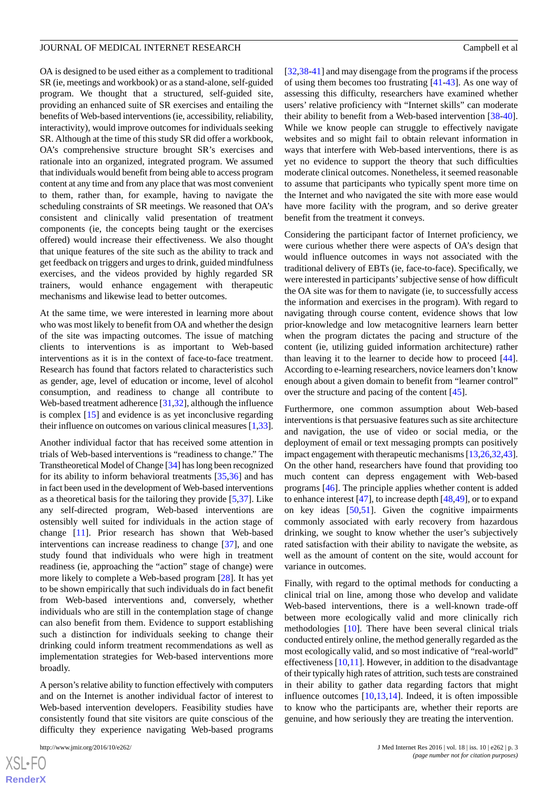OA is designed to be used either as a complement to traditional SR (ie, meetings and workbook) or as a stand-alone, self-guided program. We thought that a structured, self-guided site, providing an enhanced suite of SR exercises and entailing the benefits of Web-based interventions (ie, accessibility, reliability, interactivity), would improve outcomes for individuals seeking SR. Although at the time of this study SR did offer a workbook, OA's comprehensive structure brought SR's exercises and rationale into an organized, integrated program. We assumed that individuals would benefit from being able to access program content at any time and from any place that was most convenient to them, rather than, for example, having to navigate the scheduling constraints of SR meetings. We reasoned that OA's consistent and clinically valid presentation of treatment components (ie, the concepts being taught or the exercises offered) would increase their effectiveness. We also thought that unique features of the site such as the ability to track and get feedback on triggers and urges to drink, guided mindfulness exercises, and the videos provided by highly regarded SR trainers, would enhance engagement with therapeutic mechanisms and likewise lead to better outcomes.

At the same time, we were interested in learning more about who was most likely to benefit from OA and whether the design of the site was impacting outcomes. The issue of matching clients to interventions is as important to Web-based interventions as it is in the context of face-to-face treatment. Research has found that factors related to characteristics such as gender, age, level of education or income, level of alcohol consumption, and readiness to change all contribute to Web-based treatment adherence [[31,](#page-18-3)[32\]](#page-18-4), although the influence is complex [[15\]](#page-17-5) and evidence is as yet inconclusive regarding their influence on outcomes on various clinical measures [[1,](#page-16-0)[33\]](#page-18-5).

Another individual factor that has received some attention in trials of Web-based interventions is "readiness to change." The Transtheoretical Model of Change [[34](#page-18-6)] has long been recognized for its ability to inform behavioral treatments [\[35](#page-18-7),[36\]](#page-18-8) and has in fact been used in the development of Web-based interventions as a theoretical basis for the tailoring they provide [[5,](#page-16-4)[37](#page-18-9)]. Like any self-directed program, Web-based interventions are ostensibly well suited for individuals in the action stage of change [\[11](#page-17-2)]. Prior research has shown that Web-based interventions can increase readiness to change [[37\]](#page-18-9), and one study found that individuals who were high in treatment readiness (ie, approaching the "action" stage of change) were more likely to complete a Web-based program [[28\]](#page-18-0). It has yet to be shown empirically that such individuals do in fact benefit from Web-based interventions and, conversely, whether individuals who are still in the contemplation stage of change can also benefit from them. Evidence to support establishing such a distinction for individuals seeking to change their drinking could inform treatment recommendations as well as implementation strategies for Web-based interventions more broadly.

A person's relative ability to function effectively with computers and on the Internet is another individual factor of interest to Web-based intervention developers. Feasibility studies have consistently found that site visitors are quite conscious of the difficulty they experience navigating Web-based programs

[[32,](#page-18-4)[38-](#page-18-10)[41\]](#page-18-11) and may disengage from the programs if the process of using them becomes too frustrating [\[41](#page-18-11)-[43\]](#page-18-12). As one way of assessing this difficulty, researchers have examined whether users' relative proficiency with "Internet skills" can moderate their ability to benefit from a Web-based intervention [[38-](#page-18-10)[40\]](#page-18-13). While we know people can struggle to effectively navigate websites and so might fail to obtain relevant information in ways that interfere with Web-based interventions, there is as yet no evidence to support the theory that such difficulties moderate clinical outcomes. Nonetheless, it seemed reasonable to assume that participants who typically spent more time on the Internet and who navigated the site with more ease would have more facility with the program, and so derive greater benefit from the treatment it conveys.

Considering the participant factor of Internet proficiency, we were curious whether there were aspects of OA's design that would influence outcomes in ways not associated with the traditional delivery of EBTs (ie, face-to-face). Specifically, we were interested in participants'subjective sense of how difficult the OA site was for them to navigate (ie, to successfully access the information and exercises in the program). With regard to navigating through course content, evidence shows that low prior-knowledge and low metacognitive learners learn better when the program dictates the pacing and structure of the content (ie, utilizing guided information architecture) rather than leaving it to the learner to decide how to proceed [[44\]](#page-18-14). According to e-learning researchers, novice learners don't know enough about a given domain to benefit from "learner control" over the structure and pacing of the content [[45\]](#page-18-15).

Furthermore, one common assumption about Web-based interventions is that persuasive features such as site architecture and navigation, the use of video or social media, or the deployment of email or text messaging prompts can positively impact engagement with therapeutic mechanisms [\[13](#page-17-3),[26](#page-17-12),[32,](#page-18-4)[43](#page-18-12)]. On the other hand, researchers have found that providing too much content can depress engagement with Web-based programs [\[46](#page-18-16)]. The principle applies whether content is added to enhance interest [\[47](#page-18-17)], to increase depth [\[48](#page-18-18),[49\]](#page-18-19), or to expand on key ideas [[50,](#page-18-20)[51\]](#page-18-21). Given the cognitive impairments commonly associated with early recovery from hazardous drinking, we sought to know whether the user's subjectively rated satisfaction with their ability to navigate the website, as well as the amount of content on the site, would account for variance in outcomes.

Finally, with regard to the optimal methods for conducting a clinical trial on line, among those who develop and validate Web-based interventions, there is a well-known trade-off between more ecologically valid and more clinically rich methodologies [[10\]](#page-17-1). There have been several clinical trials conducted entirely online, the method generally regarded as the most ecologically valid, and so most indicative of "real-world" effectiveness  $[10,11]$  $[10,11]$  $[10,11]$  $[10,11]$ . However, in addition to the disadvantage of their typically high rates of attrition, such tests are constrained in their ability to gather data regarding factors that might influence outcomes  $[10,13,14]$  $[10,13,14]$  $[10,13,14]$  $[10,13,14]$  $[10,13,14]$ . Indeed, it is often impossible to know who the participants are, whether their reports are genuine, and how seriously they are treating the intervention.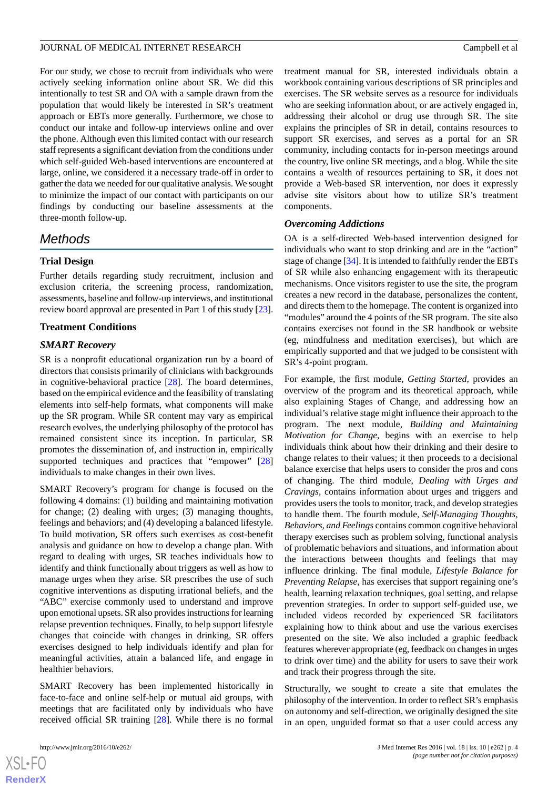For our study, we chose to recruit from individuals who were actively seeking information online about SR. We did this intentionally to test SR and OA with a sample drawn from the population that would likely be interested in SR's treatment approach or EBTs more generally. Furthermore, we chose to conduct our intake and follow-up interviews online and over the phone. Although even this limited contact with our research staff represents a significant deviation from the conditions under which self-guided Web-based interventions are encountered at large, online, we considered it a necessary trade-off in order to gather the data we needed for our qualitative analysis. We sought to minimize the impact of our contact with participants on our findings by conducting our baseline assessments at the three-month follow-up.

## *Methods*

#### **Trial Design**

Further details regarding study recruitment, inclusion and exclusion criteria, the screening process, randomization, assessments, baseline and follow-up interviews, and institutional review board approval are presented in Part 1 of this study [[23\]](#page-17-10).

#### **Treatment Conditions**

#### *SMART Recovery*

SR is a nonprofit educational organization run by a board of directors that consists primarily of clinicians with backgrounds in cognitive-behavioral practice [\[28](#page-18-0)]. The board determines, based on the empirical evidence and the feasibility of translating elements into self-help formats, what components will make up the SR program. While SR content may vary as empirical research evolves, the underlying philosophy of the protocol has remained consistent since its inception. In particular, SR promotes the dissemination of, and instruction in, empirically supported techniques and practices that "empower" [\[28](#page-18-0)] individuals to make changes in their own lives.

SMART Recovery's program for change is focused on the following 4 domains: (1) building and maintaining motivation for change; (2) dealing with urges; (3) managing thoughts, feelings and behaviors; and (4) developing a balanced lifestyle. To build motivation, SR offers such exercises as cost-benefit analysis and guidance on how to develop a change plan. With regard to dealing with urges, SR teaches individuals how to identify and think functionally about triggers as well as how to manage urges when they arise. SR prescribes the use of such cognitive interventions as disputing irrational beliefs, and the "ABC" exercise commonly used to understand and improve upon emotional upsets. SR also provides instructions for learning relapse prevention techniques. Finally, to help support lifestyle changes that coincide with changes in drinking, SR offers exercises designed to help individuals identify and plan for meaningful activities, attain a balanced life, and engage in healthier behaviors.

SMART Recovery has been implemented historically in face-to-face and online self-help or mutual aid groups, with meetings that are facilitated only by individuals who have received official SR training [[28\]](#page-18-0). While there is no formal

treatment manual for SR, interested individuals obtain a workbook containing various descriptions of SR principles and exercises. The SR website serves as a resource for individuals who are seeking information about, or are actively engaged in, addressing their alcohol or drug use through SR. The site explains the principles of SR in detail, contains resources to support SR exercises, and serves as a portal for an SR community, including contacts for in-person meetings around the country, live online SR meetings, and a blog. While the site contains a wealth of resources pertaining to SR, it does not provide a Web-based SR intervention, nor does it expressly advise site visitors about how to utilize SR's treatment components.

#### *Overcoming Addictions*

OA is a self-directed Web-based intervention designed for individuals who want to stop drinking and are in the "action" stage of change [[34\]](#page-18-6). It is intended to faithfully render the EBTs of SR while also enhancing engagement with its therapeutic mechanisms. Once visitors register to use the site, the program creates a new record in the database, personalizes the content, and directs them to the homepage. The content is organized into "modules" around the 4 points of the SR program. The site also contains exercises not found in the SR handbook or website (eg, mindfulness and meditation exercises), but which are empirically supported and that we judged to be consistent with SR's 4-point program.

For example, the first module, *Getting Started*, provides an overview of the program and its theoretical approach, while also explaining Stages of Change, and addressing how an individual's relative stage might influence their approach to the program. The next module, *Building and Maintaining Motivation for Change*, begins with an exercise to help individuals think about how their drinking and their desire to change relates to their values; it then proceeds to a decisional balance exercise that helps users to consider the pros and cons of changing. The third module, *Dealing with Urges and Cravings*, contains information about urges and triggers and provides users the tools to monitor, track, and develop strategies to handle them. The fourth module, *Self-Managing Thoughts, Behaviors, and Feelings* contains common cognitive behavioral therapy exercises such as problem solving, functional analysis of problematic behaviors and situations, and information about the interactions between thoughts and feelings that may influence drinking. The final module, *Lifestyle Balance for Preventing Relapse*, has exercises that support regaining one's health, learning relaxation techniques, goal setting, and relapse prevention strategies. In order to support self-guided use, we included videos recorded by experienced SR facilitators explaining how to think about and use the various exercises presented on the site. We also included a graphic feedback features wherever appropriate (eg, feedback on changes in urges to drink over time) and the ability for users to save their work and track their progress through the site.

Structurally, we sought to create a site that emulates the philosophy of the intervention. In order to reflect SR's emphasis on autonomy and self-direction, we originally designed the site in an open, unguided format so that a user could access any

 $XS$  $\cdot$ FC **[RenderX](http://www.renderx.com/)**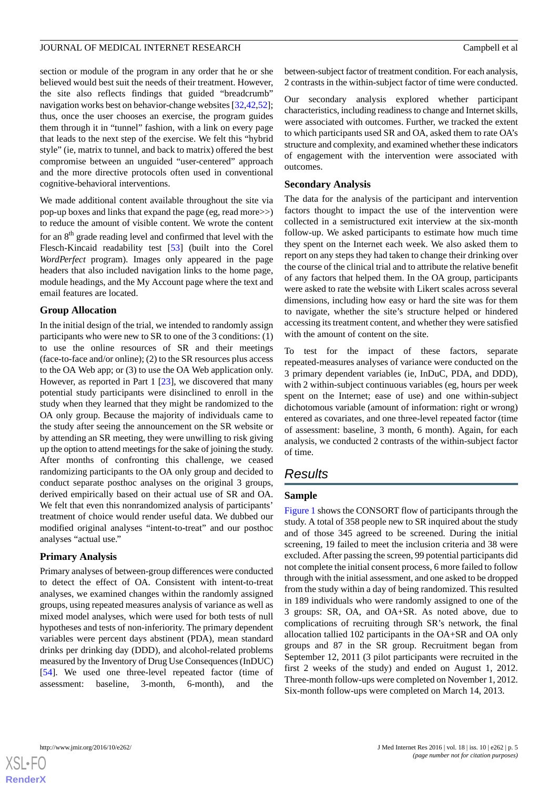section or module of the program in any order that he or she believed would best suit the needs of their treatment. However, the site also reflects findings that guided "breadcrumb" navigation works best on behavior-change websites [\[32](#page-18-4)[,42](#page-18-22),[52\]](#page-18-23); thus, once the user chooses an exercise, the program guides them through it in "tunnel" fashion, with a link on every page that leads to the next step of the exercise. We felt this "hybrid style" (ie, matrix to tunnel, and back to matrix) offered the best compromise between an unguided "user-centered" approach and the more directive protocols often used in conventional cognitive-behavioral interventions.

We made additional content available throughout the site via pop-up boxes and links that expand the page (eg, read more>>) to reduce the amount of visible content. We wrote the content for an 8<sup>th</sup> grade reading level and confirmed that level with the Flesch-Kincaid readability test [\[53](#page-19-0)] (built into the Corel *WordPerfect* program). Images only appeared in the page headers that also included navigation links to the home page, module headings, and the My Account page where the text and email features are located.

#### **Group Allocation**

In the initial design of the trial, we intended to randomly assign participants who were new to SR to one of the 3 conditions: (1) to use the online resources of SR and their meetings (face-to-face and/or online); (2) to the SR resources plus access to the OA Web app; or (3) to use the OA Web application only. However, as reported in Part 1 [\[23](#page-17-10)], we discovered that many potential study participants were disinclined to enroll in the study when they learned that they might be randomized to the OA only group. Because the majority of individuals came to the study after seeing the announcement on the SR website or by attending an SR meeting, they were unwilling to risk giving up the option to attend meetings for the sake of joining the study. After months of confronting this challenge, we ceased randomizing participants to the OA only group and decided to conduct separate posthoc analyses on the original 3 groups, derived empirically based on their actual use of SR and OA. We felt that even this nonrandomized analysis of participants' treatment of choice would render useful data. We dubbed our modified original analyses "intent-to-treat" and our posthoc analyses "actual use."

#### **Primary Analysis**

Primary analyses of between-group differences were conducted to detect the effect of OA. Consistent with intent-to-treat analyses, we examined changes within the randomly assigned groups, using repeated measures analysis of variance as well as mixed model analyses, which were used for both tests of null hypotheses and tests of non-inferiority. The primary dependent variables were percent days abstinent (PDA), mean standard drinks per drinking day (DDD), and alcohol-related problems measured by the Inventory of Drug Use Consequences (InDUC) [[54\]](#page-19-1). We used one three-level repeated factor (time of assessment: baseline, 3-month, 6-month), and the

between-subject factor of treatment condition. For each analysis, 2 contrasts in the within-subject factor of time were conducted.

Our secondary analysis explored whether participant characteristics, including readiness to change and Internet skills, were associated with outcomes. Further, we tracked the extent to which participants used SR and OA, asked them to rate OA's structure and complexity, and examined whether these indicators of engagement with the intervention were associated with outcomes.

#### **Secondary Analysis**

The data for the analysis of the participant and intervention factors thought to impact the use of the intervention were collected in a semistructured exit interview at the six-month follow-up. We asked participants to estimate how much time they spent on the Internet each week. We also asked them to report on any steps they had taken to change their drinking over the course of the clinical trial and to attribute the relative benefit of any factors that helped them. In the OA group, participants were asked to rate the website with Likert scales across several dimensions, including how easy or hard the site was for them to navigate, whether the site's structure helped or hindered accessing its treatment content, and whether they were satisfied with the amount of content on the site.

To test for the impact of these factors, separate repeated-measures analyses of variance were conducted on the 3 primary dependent variables (ie, InDuC, PDA, and DDD), with 2 within-subject continuous variables (eg, hours per week spent on the Internet; ease of use) and one within-subject dichotomous variable (amount of information: right or wrong) entered as covariates, and one three-level repeated factor (time of assessment: baseline, 3 month, 6 month). Again, for each analysis, we conducted 2 contrasts of the within-subject factor of time.

## *Results*

### **Sample**

[Figure 1](#page-5-0) shows the CONSORT flow of participants through the study. A total of 358 people new to SR inquired about the study and of those 345 agreed to be screened. During the initial screening, 19 failed to meet the inclusion criteria and 38 were excluded. After passing the screen, 99 potential participants did not complete the initial consent process, 6 more failed to follow through with the initial assessment, and one asked to be dropped from the study within a day of being randomized. This resulted in 189 individuals who were randomly assigned to one of the 3 groups: SR, OA, and OA+SR. As noted above, due to complications of recruiting through SR's network, the final allocation tallied 102 participants in the OA+SR and OA only groups and 87 in the SR group. Recruitment began from September 12, 2011 (3 pilot participants were recruited in the first 2 weeks of the study) and ended on August 1, 2012. Three-month follow-ups were completed on November 1, 2012. Six-month follow-ups were completed on March 14, 2013.

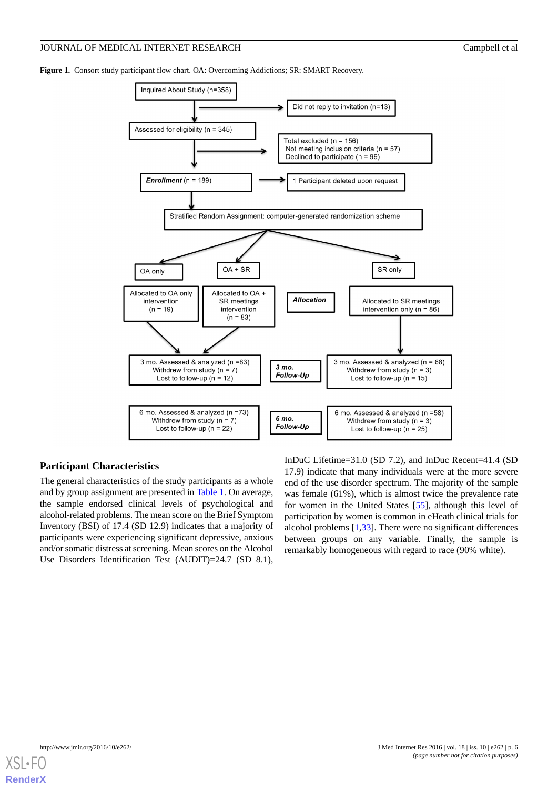<span id="page-5-0"></span>**Figure 1.** Consort study participant flow chart. OA: Overcoming Addictions; SR: SMART Recovery.



#### **Participant Characteristics**

The general characteristics of the study participants as a whole and by group assignment are presented in [Table 1](#page-6-0). On average, the sample endorsed clinical levels of psychological and alcohol-related problems. The mean score on the Brief Symptom Inventory (BSI) of 17.4 (SD 12.9) indicates that a majority of participants were experiencing significant depressive, anxious and/or somatic distress at screening. Mean scores on the Alcohol Use Disorders Identification Test (AUDIT)=24.7 (SD 8.1),

InDuC Lifetime=31.0 (SD 7.2), and InDuc Recent=41.4 (SD 17.9) indicate that many individuals were at the more severe end of the use disorder spectrum. The majority of the sample was female (61%), which is almost twice the prevalence rate for women in the United States [[55\]](#page-19-2), although this level of participation by women is common in eHeath clinical trials for alcohol problems [\[1](#page-16-0),[33\]](#page-18-5). There were no significant differences between groups on any variable. Finally, the sample is remarkably homogeneous with regard to race (90% white).

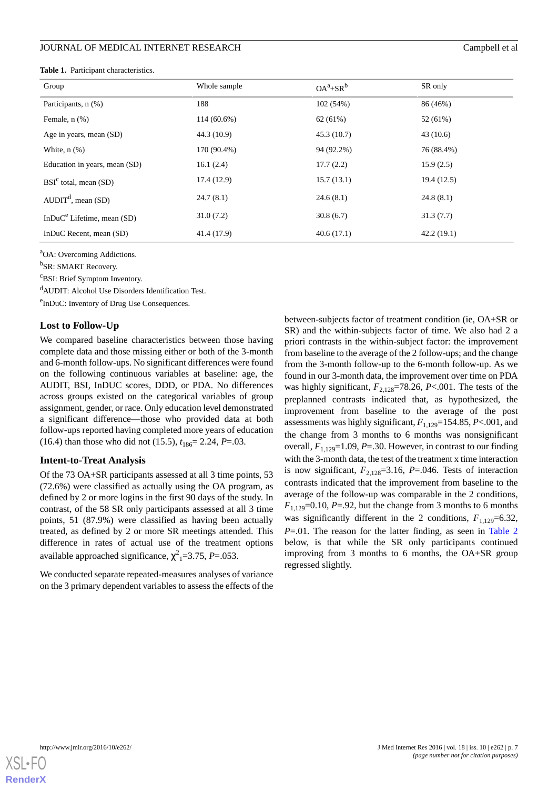#### <span id="page-6-0"></span>**Table 1.** Participant characteristics.

| Group                          | Whole sample  | $OA^a + SR^b$ | SR only     |
|--------------------------------|---------------|---------------|-------------|
| Participants, n (%)            | 188           | 102(54%)      | 86 (46%)    |
| Female, $n$ $(\%)$             | $114(60.6\%)$ | 62(61%)       | 52 (61%)    |
| Age in years, mean (SD)        | 44.3 (10.9)   | 45.3(10.7)    | 43(10.6)    |
| White, $n$ $(\%)$              | 170 (90.4%)   | 94 (92.2%)    | 76 (88.4%)  |
| Education in years, mean (SD)  | 16.1(2.4)     | 17.7(2.2)     | 15.9(2.5)   |
| $BSIc$ total, mean (SD)        | 17.4 (12.9)   | 15.7(13.1)    | 19.4 (12.5) |
| $AUDITd$ , mean (SD)           | 24.7(8.1)     | 24.6(8.1)     | 24.8(8.1)   |
| In $DuC^e$ Lifetime, mean (SD) | 31.0(7.2)     | 30.8(6.7)     | 31.3(7.7)   |
| InDuC Recent, mean (SD)        | 41.4 (17.9)   | 40.6(17.1)    | 42.2(19.1)  |

<sup>a</sup>OA: Overcoming Addictions.

<sup>b</sup>SR: SMART Recovery.

<sup>c</sup>BSI: Brief Symptom Inventory.

<sup>d</sup>AUDIT: Alcohol Use Disorders Identification Test.

<sup>e</sup>InDuC: Inventory of Drug Use Consequences.

#### **Lost to Follow-Up**

We compared baseline characteristics between those having complete data and those missing either or both of the 3-month and 6-month follow-ups. No significant differences were found on the following continuous variables at baseline: age, the AUDIT, BSI, InDUC scores, DDD, or PDA. No differences across groups existed on the categorical variables of group assignment, gender, or race. Only education level demonstrated a significant difference—those who provided data at both follow-ups reported having completed more years of education (16.4) than those who did not (15.5),  $t_{186} = 2.24$ , *P*=.03.

#### **Intent-to-Treat Analysis**

Of the 73 OA+SR participants assessed at all 3 time points, 53 (72.6%) were classified as actually using the OA program, as defined by 2 or more logins in the first 90 days of the study. In contrast, of the 58 SR only participants assessed at all 3 time points, 51 (87.9%) were classified as having been actually treated, as defined by 2 or more SR meetings attended. This difference in rates of actual use of the treatment options available approached significance, χ 2 <sup>1</sup>=3.75, *P*=.053.

We conducted separate repeated-measures analyses of variance on the 3 primary dependent variables to assess the effects of the between-subjects factor of treatment condition (ie, OA+SR or SR) and the within-subjects factor of time. We also had 2 a priori contrasts in the within-subject factor: the improvement from baseline to the average of the 2 follow-ups; and the change from the 3-month follow-up to the 6-month follow-up. As we found in our 3-month data, the improvement over time on PDA was highly significant,  $F_{2,128}=78.26$ ,  $P<.001$ . The tests of the preplanned contrasts indicated that, as hypothesized, the improvement from baseline to the average of the post assessments was highly significant,  $F_{1,129}=154.85$ ,  $P<.001$ , and the change from 3 months to 6 months was nonsignificant overall,  $F_{1,129}$ =1.09, *P*=.30. However, in contrast to our finding with the 3-month data, the test of the treatment x time interaction is now significant,  $F_{2,128}=3.16$ ,  $P=.046$ . Tests of interaction contrasts indicated that the improvement from baseline to the average of the follow-up was comparable in the 2 conditions,  $F_{1,129}$ =0.10, *P*=.92, but the change from 3 months to 6 months was significantly different in the 2 conditions,  $F_{1,129}=6.32$ , *P*=.01. The reason for the latter finding, as seen in [Table 2](#page-7-0) below, is that while the SR only participants continued improving from 3 months to 6 months, the OA+SR group regressed slightly.

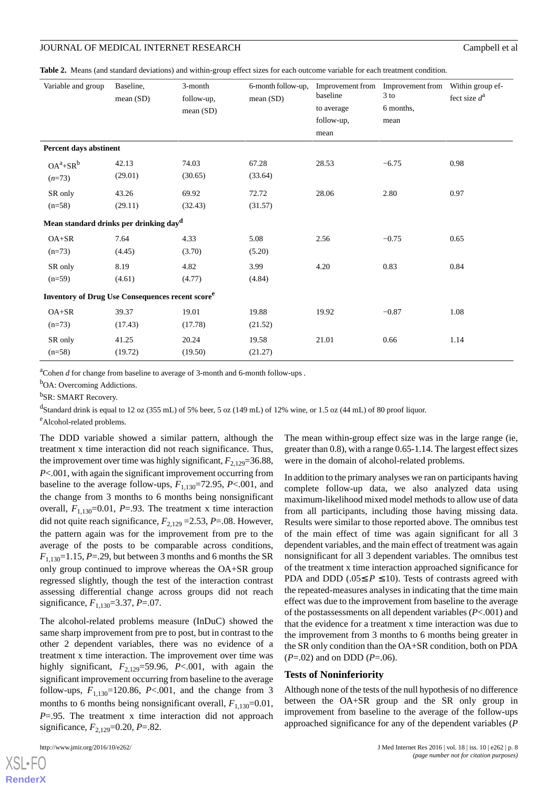<span id="page-7-0"></span>**Table 2.** Means (and standard deviations) and within-group effect sizes for each outcome variable for each treatment condition.

| Variable and group                                                  | Baseline,<br>mean(SD) | 3-month<br>follow-up,<br>mean(SD) | 6-month follow-up,<br>mean (SD) | baseline<br>to average<br>follow-up,<br>mean | Improvement from Improvement from Within group ef-<br>$3$ to<br>6 months,<br>mean | fect size $d^a$ |
|---------------------------------------------------------------------|-----------------------|-----------------------------------|---------------------------------|----------------------------------------------|-----------------------------------------------------------------------------------|-----------------|
| Percent days abstinent                                              |                       |                                   |                                 |                                              |                                                                                   |                 |
| $OA^a + SR^b$<br>$(n=73)$                                           | 42.13<br>(29.01)      | 74.03<br>(30.65)                  | 67.28<br>(33.64)                | 28.53                                        | $-6.75$                                                                           | 0.98            |
| SR only<br>$(n=58)$                                                 | 43.26<br>(29.11)      | 69.92<br>(32.43)                  | 72.72<br>(31.57)                | 28.06                                        | 2.80                                                                              | 0.97            |
| Mean standard drinks per drinking day <sup>d</sup>                  |                       |                                   |                                 |                                              |                                                                                   |                 |
| $OA+SR$<br>$(n=73)$                                                 | 7.64<br>(4.45)        | 4.33<br>(3.70)                    | 5.08<br>(5.20)                  | 2.56                                         | $-0.75$                                                                           | 0.65            |
| SR only<br>$(n=59)$                                                 | 8.19<br>(4.61)        | 4.82<br>(4.77)                    | 3.99<br>(4.84)                  | 4.20                                         | 0.83                                                                              | 0.84            |
| <b>Inventory of Drug Use Consequences recent score</b> <sup>e</sup> |                       |                                   |                                 |                                              |                                                                                   |                 |
| $OA+SR$<br>$(n=73)$                                                 | 39.37<br>(17.43)      | 19.01<br>(17.78)                  | 19.88<br>(21.52)                | 19.92                                        | $-0.87$                                                                           | 1.08            |
| SR only<br>$(n=58)$                                                 | 41.25<br>(19.72)      | 20.24<br>(19.50)                  | 19.58<br>(21.27)                | 21.01                                        | 0.66                                                                              | 1.14            |

<sup>a</sup>Cohen *d* for change from baseline to average of 3-month and 6-month follow-ups .

<sup>b</sup>OA: Overcoming Addictions.

<sup>b</sup>SR: SMART Recovery.

<sup>d</sup>Standard drink is equal to 12 oz (355 mL) of 5% beer, 5 oz (149 mL) of 12% wine, or 1.5 oz (44 mL) of 80 proof liquor.

<sup>e</sup>Alcohol-related problems.

The DDD variable showed a similar pattern, although the treatment x time interaction did not reach significance. Thus, the improvement over time was highly significant,  $F_{2,129}=36.88$ , *P*<.001, with again the significant improvement occurring from baseline to the average follow-ups,  $F_{1,130}$ =72.95, *P*<.001, and the change from 3 months to 6 months being nonsignificant overall,  $F_{1,130}$ =0.01,  $P = .93$ . The treatment x time interaction did not quite reach significance,  $F_{2,129} = 2.53$ ,  $P = .08$ . However, the pattern again was for the improvement from pre to the average of the posts to be comparable across conditions,  $F_{1,130}=1.15$ , *P*=.29, but between 3 months and 6 months the SR only group continued to improve whereas the OA+SR group regressed slightly, though the test of the interaction contrast assessing differential change across groups did not reach significance,  $F_{1,130}$ =3.37, *P*=.07.

The alcohol-related problems measure (InDuC) showed the same sharp improvement from pre to post, but in contrast to the other 2 dependent variables, there was no evidence of a treatment x time interaction. The improvement over time was highly significant,  $F_{2,129}$ =59.96, *P*<.001, with again the significant improvement occurring from baseline to the average follow-ups,  $F_{1,130}$ =120.86, *P*<.001, and the change from 3 months to 6 months being nonsignificant overall,  $F_{1,130}=0.01$ , *P*=.95. The treatment x time interaction did not approach significance,  $F_{2,129}=0.20$ ,  $P=.82$ .

The mean within-group effect size was in the large range (ie, greater than 0.8), with a range 0.65-1.14. The largest effect sizes were in the domain of alcohol-related problems.

In addition to the primary analyses we ran on participants having complete follow-up data, we also analyzed data using maximum-likelihood mixed model methods to allow use of data from all participants, including those having missing data. Results were similar to those reported above. The omnibus test of the main effect of time was again significant for all 3 dependent variables, and the main effect of treatment was again nonsignificant for all 3 dependent variables. The omnibus test of the treatment x time interaction approached significance for PDA and DDD ( $.05 \le P \le 10$ ). Tests of contrasts agreed with the repeated-measures analyses in indicating that the time main effect was due to the improvement from baseline to the average of the postassessments on all dependent variables (*P*<.001) and that the evidence for a treatment x time interaction was due to the improvement from 3 months to 6 months being greater in the SR only condition than the OA+SR condition, both on PDA (*P*=.02) and on DDD (*P*=.06).

#### **Tests of Noninferiority**

Although none of the tests of the null hypothesis of no difference between the OA+SR group and the SR only group in improvement from baseline to the average of the follow-ups approached significance for any of the dependent variables (*P*

 $XS$ l • FC **[RenderX](http://www.renderx.com/)**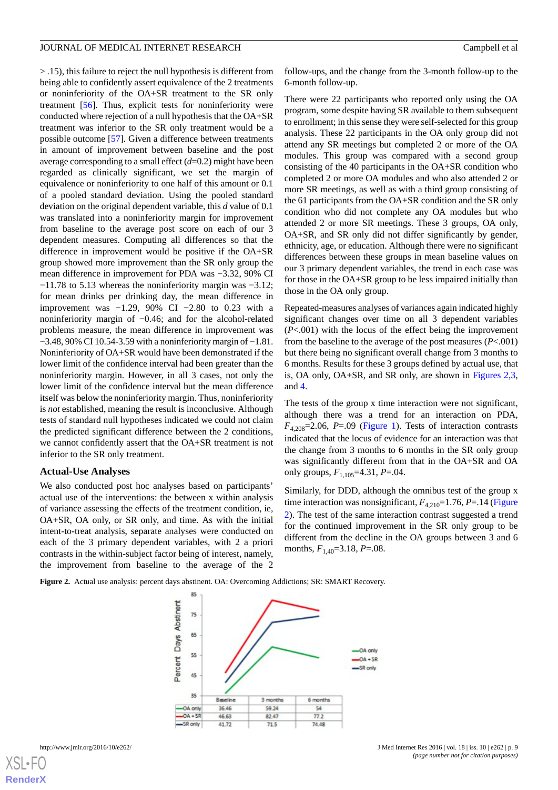> .15), this failure to reject the null hypothesis is different from being able to confidently assert equivalence of the 2 treatments or noninferiority of the OA+SR treatment to the SR only treatment [[56\]](#page-19-3). Thus, explicit tests for noninferiority were conducted where rejection of a null hypothesis that the OA+SR treatment was inferior to the SR only treatment would be a possible outcome [\[57](#page-19-4)]. Given a difference between treatments in amount of improvement between baseline and the post average corresponding to a small effect (*d*=0.2) might have been regarded as clinically significant, we set the margin of equivalence or noninferiority to one half of this amount or 0.1 of a pooled standard deviation. Using the pooled standard deviation on the original dependent variable, this *d* value of 0.1 was translated into a noninferiority margin for improvement from baseline to the average post score on each of our 3 dependent measures. Computing all differences so that the difference in improvement would be positive if the OA+SR group showed more improvement than the SR only group the mean difference in improvement for PDA was −3.32, 90% CI −11.78 to 5.13 whereas the noninferiority margin was −3.12; for mean drinks per drinking day, the mean difference in improvement was −1.29, 90% CI −2.80 to 0.23 with a noninferiority margin of −0.46; and for the alcohol-related problems measure, the mean difference in improvement was −3.48, 90% CI 10.54-3.59 with a noninferiority margin of −1.81. Noninferiority of OA+SR would have been demonstrated if the lower limit of the confidence interval had been greater than the noninferiority margin. However, in all 3 cases, not only the lower limit of the confidence interval but the mean difference itself was below the noninferiority margin. Thus, noninferiority is *not* established, meaning the result is inconclusive. Although tests of standard null hypotheses indicated we could not claim the predicted significant difference between the 2 conditions, we cannot confidently assert that the OA+SR treatment is not inferior to the SR only treatment.

#### **Actual-Use Analyses**

<span id="page-8-0"></span>We also conducted post hoc analyses based on participants' actual use of the interventions: the between x within analysis of variance assessing the effects of the treatment condition, ie, OA+SR, OA only, or SR only, and time. As with the initial intent-to-treat analysis, separate analyses were conducted on each of the 3 primary dependent variables, with 2 a priori contrasts in the within-subject factor being of interest, namely, the improvement from baseline to the average of the 2 follow-ups, and the change from the 3-month follow-up to the 6-month follow-up.

There were 22 participants who reported only using the OA program, some despite having SR available to them subsequent to enrollment; in this sense they were self-selected for this group analysis. These 22 participants in the OA only group did not attend any SR meetings but completed 2 or more of the OA modules. This group was compared with a second group consisting of the 40 participants in the OA+SR condition who completed 2 or more OA modules and who also attended 2 or more SR meetings, as well as with a third group consisting of the 61 participants from the OA+SR condition and the SR only condition who did not complete any OA modules but who attended 2 or more SR meetings. These 3 groups, OA only, OA+SR, and SR only did not differ significantly by gender, ethnicity, age, or education. Although there were no significant differences between these groups in mean baseline values on our 3 primary dependent variables, the trend in each case was for those in the OA+SR group to be less impaired initially than those in the OA only group.

Repeated-measures analyses of variances again indicated highly significant changes over time on all 3 dependent variables (*P*<.001) with the locus of the effect being the improvement from the baseline to the average of the post measures (*P*<.001) but there being no significant overall change from 3 months to 6 months. Results for these 3 groups defined by actual use, that is, OA only, OA+SR, and SR only, are shown in [Figures 2](#page-8-0)[,3](#page-9-0), and [4.](#page-11-0)

The tests of the group x time interaction were not significant, although there was a trend for an interaction on PDA,  $F_{4,208}$ =2.06, *P*=.09 [\(Figure 1\)](#page-5-0). Tests of interaction contrasts indicated that the locus of evidence for an interaction was that the change from 3 months to 6 months in the SR only group was significantly different from that in the OA+SR and OA only groups,  $F_{1,105}$ =4.31, *P*=.04.

Similarly, for DDD, although the omnibus test of the group x time interaction was nonsignificant,  $F_{4,210}$ =1.76,  $P = 14$  ([Figure](#page-8-0) [2\)](#page-8-0). The test of the same interaction contrast suggested a trend for the continued improvement in the SR only group to be different from the decline in the OA groups between 3 and 6 months,  $F_{1,40}$ =3.18, *P*=.08.

**Figure 2.** Actual use analysis: percent days abstinent. OA: Overcoming Addictions; SR: SMART Recovery.

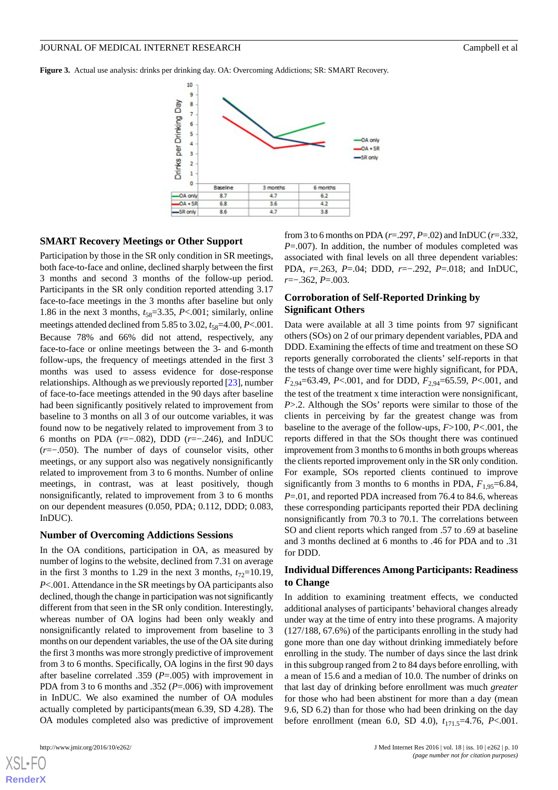<span id="page-9-0"></span>**Figure 3.** Actual use analysis: drinks per drinking day. OA: Overcoming Addictions; SR: SMART Recovery.



#### **SMART Recovery Meetings or Other Support**

Participation by those in the SR only condition in SR meetings, both face-to-face and online, declined sharply between the first 3 months and second 3 months of the follow-up period. Participants in the SR only condition reported attending 3.17 face-to-face meetings in the 3 months after baseline but only 1.86 in the next 3 months,  $t_{58}=3.35$ , *P*<.001; similarly, online meetings attended declined from 5.85 to 3.02,  $t_{58}=4.00, P<.001$ . Because 78% and 66% did not attend, respectively, any face-to-face or online meetings between the 3- and 6-month follow-ups, the frequency of meetings attended in the first 3 months was used to assess evidence for dose-response relationships. Although as we previously reported [\[23](#page-17-10)], number of face-to-face meetings attended in the 90 days after baseline had been significantly positively related to improvement from baseline to 3 months on all 3 of our outcome variables, it was found now to be negatively related to improvement from 3 to 6 months on PDA (*r*=−.082), DDD (*r*=−.246), and InDUC (*r*=−.050). The number of days of counselor visits, other meetings, or any support also was negatively nonsignificantly related to improvement from 3 to 6 months. Number of online meetings, in contrast, was at least positively, though nonsignificantly, related to improvement from 3 to 6 months on our dependent measures (0.050, PDA; 0.112, DDD; 0.083, InDUC).

#### **Number of Overcoming Addictions Sessions**

In the OA conditions, participation in OA, as measured by number of logins to the website, declined from 7.31 on average in the first 3 months to 1.29 in the next 3 months,  $t_{72}=10.19$ , *P*<.001. Attendance in the SR meetings by OA participants also declined, though the change in participation was not significantly different from that seen in the SR only condition. Interestingly, whereas number of OA logins had been only weakly and nonsignificantly related to improvement from baseline to 3 months on our dependent variables, the use of the OA site during the first 3 months was more strongly predictive of improvement from 3 to 6 months. Specifically, OA logins in the first 90 days after baseline correlated .359 (*P*=.005) with improvement in PDA from 3 to 6 months and .352 (*P*=.006) with improvement in InDUC. We also examined the number of OA modules actually completed by participants(mean 6.39, SD 4.28). The OA modules completed also was predictive of improvement

[XSL](http://www.w3.org/Style/XSL)•FO **[RenderX](http://www.renderx.com/)**

from 3 to 6 months on PDA (*r*=.297, *P*=.02) and InDUC (*r*=.332, *P*=.007). In addition, the number of modules completed was associated with final levels on all three dependent variables: PDA, *r*=.263, *P*=.04; DDD, *r*=−.292, *P*=.018; and InDUC, *r*=−.362, *P*=.003.

#### **Corroboration of Self-Reported Drinking by Significant Others**

Data were available at all 3 time points from 97 significant others (SOs) on 2 of our primary dependent variables, PDA and DDD. Examining the effects of time and treatment on these SO reports generally corroborated the clients' self-reports in that the tests of change over time were highly significant, for PDA, *F*2,94=63.49, *P*<.001, and for DDD, *F*2,94=65.59, *P*<.001, and the test of the treatment x time interaction were nonsignificant, *P*>.2. Although the SOs' reports were similar to those of the clients in perceiving by far the greatest change was from baseline to the average of the follow-ups, *F*>100, *P<*.001, the reports differed in that the SOs thought there was continued improvement from 3 months to 6 months in both groups whereas the clients reported improvement only in the SR only condition. For example, SOs reported clients continued to improve significantly from 3 months to 6 months in PDA,  $F_{1.95}=6.84$ , *P*=.01, and reported PDA increased from 76.4 to 84.6, whereas these corresponding participants reported their PDA declining nonsignificantly from 70.3 to 70.1. The correlations between SO and client reports which ranged from .57 to .69 at baseline and 3 months declined at 6 months to .46 for PDA and to .31 for DDD.

## **Individual Differences Among Participants: Readiness to Change**

In addition to examining treatment effects, we conducted additional analyses of participants' behavioral changes already under way at the time of entry into these programs. A majority (127/188, 67.6%) of the participants enrolling in the study had gone more than one day without drinking immediately before enrolling in the study. The number of days since the last drink in this subgroup ranged from 2 to 84 days before enrolling, with a mean of 15.6 and a median of 10.0. The number of drinks on that last day of drinking before enrollment was much *greater* for those who had been abstinent for more than a day (mean 9.6, SD 6.2) than for those who had been drinking on the day before enrollment (mean 6.0, SD 4.0),  $t_{171}$ <sub>5</sub>=4.76, *P*<.001.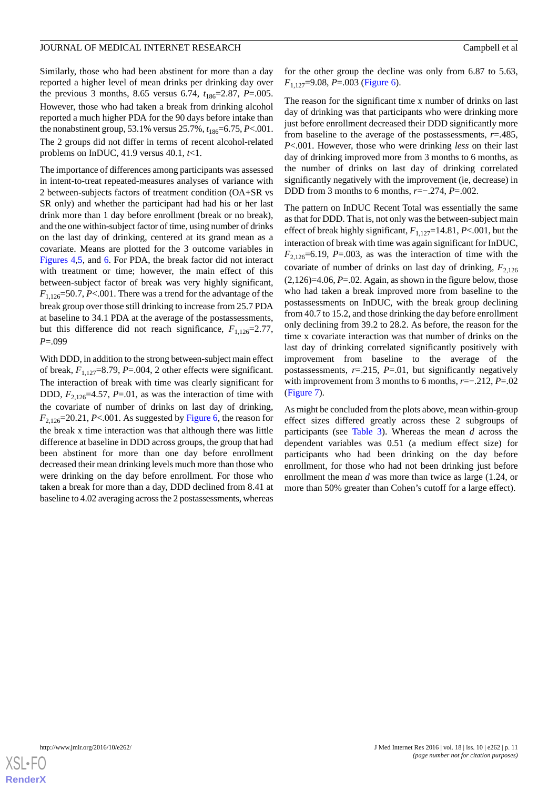Similarly, those who had been abstinent for more than a day reported a higher level of mean drinks per drinking day over the previous 3 months, 8.65 versus 6.74,  $t_{186}=2.87$ , *P*=.005. However, those who had taken a break from drinking alcohol reported a much higher PDA for the 90 days before intake than the nonabstinent group, 53.1% versus 25.7%,  $t_{186}$ =6.75, *P*<.001. The 2 groups did not differ in terms of recent alcohol-related problems on InDUC, 41.9 versus 40.1, *t*<1.

The importance of differences among participants was assessed in intent-to-treat repeated-measures analyses of variance with 2 between-subjects factors of treatment condition (OA+SR vs SR only) and whether the participant had had his or her last drink more than 1 day before enrollment (break or no break), and the one within-subject factor of time, using number of drinks on the last day of drinking, centered at its grand mean as a covariate. Means are plotted for the 3 outcome variables in [Figures 4](#page-11-0)[,5](#page-11-1), and [6.](#page-12-0) For PDA, the break factor did not interact with treatment or time; however, the main effect of this between-subject factor of break was very highly significant,  $F_{1,126}$ =50.7, *P*<.001. There was a trend for the advantage of the break group over those still drinking to increase from 25.7 PDA at baseline to 34.1 PDA at the average of the postassessments, but this difference did not reach significance,  $F_{1,126}=2.77$ , *P*=.099

With DDD, in addition to the strong between-subject main effect of break,  $F_{1,127}$ =8.79, *P*=.004, 2 other effects were significant. The interaction of break with time was clearly significant for DDD,  $F_{2,126}=4.57$ ,  $P=0.01$ , as was the interaction of time with the covariate of number of drinks on last day of drinking,  $F_{2,126}$ =20.21, *P*<.001. As suggested by [Figure 6](#page-12-0), the reason for the break x time interaction was that although there was little difference at baseline in DDD across groups, the group that had been abstinent for more than one day before enrollment decreased their mean drinking levels much more than those who were drinking on the day before enrollment. For those who taken a break for more than a day, DDD declined from 8.41 at baseline to 4.02 averaging across the 2 postassessments, whereas

for the other group the decline was only from 6.87 to 5.63, *F*1,127=9.08, *P*=.003 ([Figure 6](#page-12-0)).

The reason for the significant time x number of drinks on last day of drinking was that participants who were drinking more just before enrollment decreased their DDD significantly more from baseline to the average of the postassessments, *r*=.485, *P*<.001. However, those who were drinking *less* on their last day of drinking improved more from 3 months to 6 months, as the number of drinks on last day of drinking correlated significantly negatively with the improvement (ie, decrease) in DDD from 3 months to 6 months, *r*=−.274, *P*=.002.

The pattern on InDUC Recent Total was essentially the same as that for DDD. That is, not only was the between-subject main effect of break highly significant,  $F_{1,127}=14.81$ ,  $P<.001$ , but the interaction of break with time was again significant for InDUC,  $F_{2,126}$ =6.19, *P*=.003, as was the interaction of time with the covariate of number of drinks on last day of drinking,  $F_{2,126}$  $(2,126)=4.06$ ,  $P=.02$ . Again, as shown in the figure below, those who had taken a break improved more from baseline to the postassessments on InDUC, with the break group declining from 40.7 to 15.2, and those drinking the day before enrollment only declining from 39.2 to 28.2. As before, the reason for the time x covariate interaction was that number of drinks on the last day of drinking correlated significantly positively with improvement from baseline to the average of the postassessments,  $r=0.215$ ,  $P=0.01$ , but significantly negatively with improvement from 3 months to 6 months, *r*=−.212, *P*=.02 ([Figure 7\)](#page-12-1).

As might be concluded from the plots above, mean within-group effect sizes differed greatly across these 2 subgroups of participants (see [Table 3\)](#page-11-2). Whereas the mean *d* across the dependent variables was 0.51 (a medium effect size) for participants who had been drinking on the day before enrollment, for those who had not been drinking just before enrollment the mean *d* was more than twice as large (1.24, or more than 50% greater than Cohen's cutoff for a large effect).

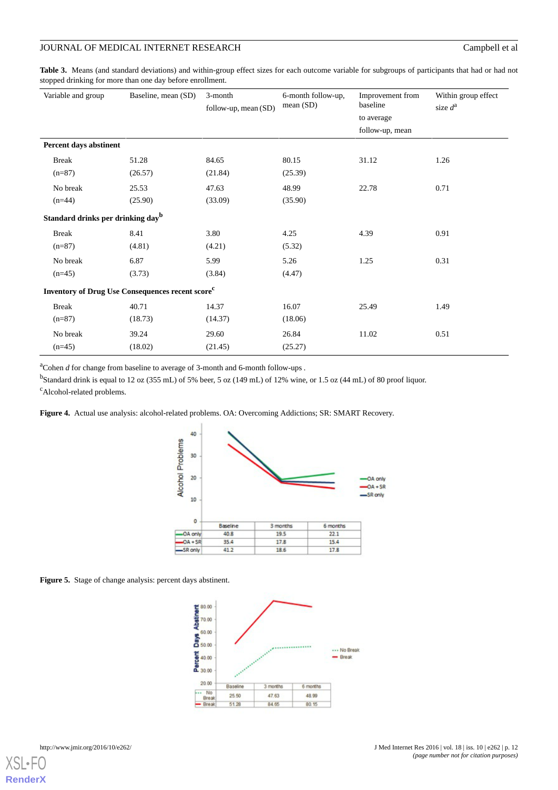## JOURNAL OF MEDICAL INTERNET RESEARCH Campbell et al

<span id="page-11-2"></span>**Table 3.** Means (and standard deviations) and within-group effect sizes for each outcome variable for subgroups of participants that had or had not stopped drinking for more than one day before enrollment.

| Variable and group                                           | Baseline, mean (SD) | 3-month<br>follow-up, mean (SD) | 6-month follow-up,<br>mean(SD) | Improvement from<br>baseline<br>to average<br>follow-up, mean | Within group effect<br>size $d^a$ |  |
|--------------------------------------------------------------|---------------------|---------------------------------|--------------------------------|---------------------------------------------------------------|-----------------------------------|--|
| Percent days abstinent                                       |                     |                                 |                                |                                                               |                                   |  |
| <b>Break</b>                                                 | 51.28               | 84.65                           | 80.15                          | 31.12                                                         | 1.26                              |  |
| $(n=87)$                                                     | (26.57)             | (21.84)                         | (25.39)                        |                                                               |                                   |  |
| No break                                                     | 25.53               | 47.63                           | 48.99                          | 22.78                                                         | 0.71                              |  |
| $(n=44)$                                                     | (25.90)             | (33.09)                         | (35.90)                        |                                                               |                                   |  |
| Standard drinks per drinking day <sup>b</sup>                |                     |                                 |                                |                                                               |                                   |  |
| <b>Break</b>                                                 | 8.41                | 3.80                            | 4.25                           | 4.39                                                          | 0.91                              |  |
| $(n=87)$                                                     | (4.81)              | (4.21)                          | (5.32)                         |                                                               |                                   |  |
| No break                                                     | 6.87                | 5.99                            | 5.26                           | 1.25                                                          | 0.31                              |  |
| $(n=45)$                                                     | (3.73)              | (3.84)                          | (4.47)                         |                                                               |                                   |  |
| Inventory of Drug Use Consequences recent score <sup>c</sup> |                     |                                 |                                |                                                               |                                   |  |
| <b>Break</b>                                                 | 40.71               | 14.37                           | 16.07                          | 25.49                                                         | 1.49                              |  |
| $(n=87)$                                                     | (18.73)             | (14.37)                         | (18.06)                        |                                                               |                                   |  |
| No break                                                     | 39.24               | 29.60                           | 26.84                          | 11.02                                                         | 0.51                              |  |
| $(n=45)$                                                     | (18.02)             | (21.45)                         | (25.27)                        |                                                               |                                   |  |

<span id="page-11-0"></span><sup>a</sup>Cohen *d* for change from baseline to average of 3-month and 6-month follow-ups *.*

<sup>b</sup>Standard drink is equal to 12 oz (355 mL) of 5% beer, 5 oz (149 mL) of 12% wine, or 1.5 oz (44 mL) of 80 proof liquor. <sup>c</sup>Alcohol-related problems.

**Figure 4.** Actual use analysis: alcohol-related problems. OA: Overcoming Addictions; SR: SMART Recovery.



<span id="page-11-1"></span>

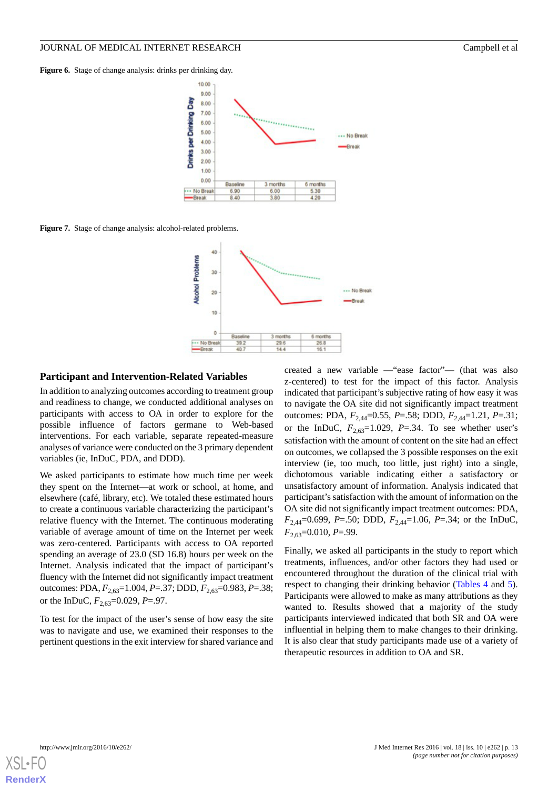<span id="page-12-0"></span>Figure 6. Stage of change analysis: drinks per drinking day.



<span id="page-12-1"></span>**Figure 7.** Stage of change analysis: alcohol-related problems.



#### **Participant and Intervention-Related Variables**

In addition to analyzing outcomes according to treatment group and readiness to change, we conducted additional analyses on participants with access to OA in order to explore for the possible influence of factors germane to Web-based interventions. For each variable, separate repeated-measure analyses of variance were conducted on the 3 primary dependent variables (ie, InDuC, PDA, and DDD).

We asked participants to estimate how much time per week they spent on the Internet—at work or school, at home, and elsewhere (café, library, etc). We totaled these estimated hours to create a continuous variable characterizing the participant's relative fluency with the Internet. The continuous moderating variable of average amount of time on the Internet per week was zero-centered. Participants with access to OA reported spending an average of 23.0 (SD 16.8) hours per week on the Internet. Analysis indicated that the impact of participant's fluency with the Internet did not significantly impact treatment outcomes: PDA, *F*2,63=1.004, *P*=.37; DDD, *F*2,63=0.983, *P*=.38; or the InDuC,  $F_{2,63}=0.029$ ,  $P=0.97$ .

To test for the impact of the user's sense of how easy the site was to navigate and use, we examined their responses to the pertinent questions in the exit interview for shared variance and created a new variable —"ease factor"— (that was also z-centered) to test for the impact of this factor. Analysis indicated that participant's subjective rating of how easy it was to navigate the OA site did not significantly impact treatment outcomes: PDA, *F*2,44=0.55, *P*=.58; DDD, *F*2,44=1.21, *P*=.31; or the InDuC,  $F_{2,63}=1.029$ ,  $P=.34$ . To see whether user's satisfaction with the amount of content on the site had an effect on outcomes, we collapsed the 3 possible responses on the exit interview (ie, too much, too little, just right) into a single, dichotomous variable indicating either a satisfactory or unsatisfactory amount of information. Analysis indicated that participant's satisfaction with the amount of information on the OA site did not significantly impact treatment outcomes: PDA,  $F_{2,44}=0.699, P=0.50; DDD, F_{2,44}=1.06, P=.34;$  or the InDuC, *F*2,63=0.010, *P*=.99.

Finally, we asked all participants in the study to report which treatments, influences, and/or other factors they had used or encountered throughout the duration of the clinical trial with respect to changing their drinking behavior ([Tables 4](#page-13-0) and [5\)](#page-13-1). Participants were allowed to make as many attributions as they wanted to. Results showed that a majority of the study participants interviewed indicated that both SR and OA were influential in helping them to make changes to their drinking. It is also clear that study participants made use of a variety of therapeutic resources in addition to OA and SR.

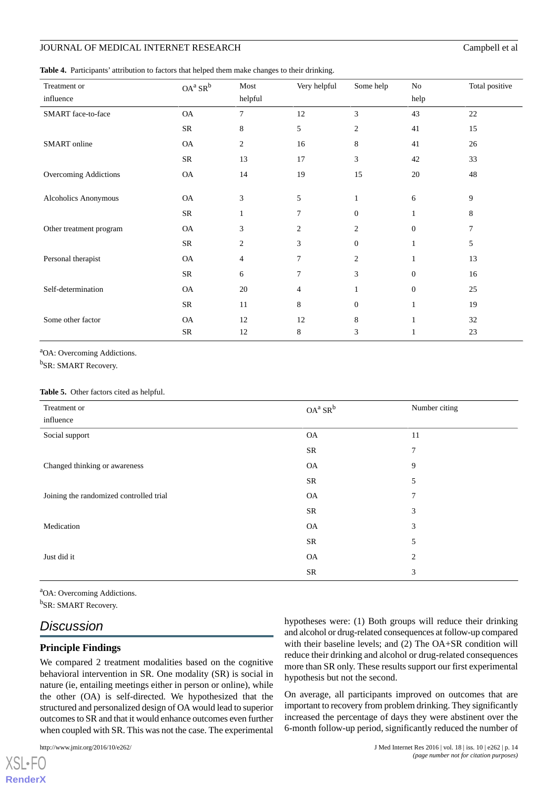#### JOURNAL OF MEDICAL INTERNET RESEARCH CAMPBELL AND Campbell et al.

<span id="page-13-0"></span>**Table 4.** Participants' attribution to factors that helped them make changes to their drinking.

| Treatment or            | $OA^a$ $SR^b$ | Most           | Very helpful   | Some help        | No               | Total positive |
|-------------------------|---------------|----------------|----------------|------------------|------------------|----------------|
| influence               |               | helpful        |                |                  | help             |                |
| SMART face-to-face      | $\mathsf{OA}$ | 7              | 12             | 3                | 43               | 22             |
|                         | SR            | 8              | 5              | $\overline{c}$   | 41               | 15             |
| SMART online            | <b>OA</b>     | $\overline{2}$ | 16             | 8                | 41               | 26             |
|                         | ${\rm SR}$    | 13             | 17             | 3                | 42               | 33             |
| Overcoming Addictions   | <b>OA</b>     | 14             | 19             | 15               | 20               | 48             |
|                         |               |                |                |                  |                  |                |
| Alcoholics Anonymous    | <b>OA</b>     | 3              | 5              | $\mathbf{1}$     | 6                | 9              |
|                         | ${\rm SR}$    | 1              | 7              | $\theta$         |                  | 8              |
| Other treatment program | <b>OA</b>     | 3              | $\overline{c}$ | 2                | $\boldsymbol{0}$ | 7              |
|                         | SR            | 2              | 3              | $\theta$         | $\mathbf{1}$     | 5              |
| Personal therapist      | <b>OA</b>     | $\overline{4}$ | $\tau$         | $\overline{c}$   |                  | 13             |
|                         | SR            | 6              | 7              | 3                | $\Omega$         | 16             |
| Self-determination      | <b>OA</b>     | 20             | 4              | 1                | $\Omega$         | 25             |
|                         | ${\rm SR}$    | 11             | 8              | $\boldsymbol{0}$ |                  | 19             |
| Some other factor       | <b>OA</b>     | 12             | 12             | 8                | 1                | 32             |
|                         | SR            | 12             | 8              | 3                |                  | 23             |

<span id="page-13-1"></span><sup>a</sup>OA: Overcoming Addictions.

<sup>b</sup>SR: SMART Recovery.

#### **Table 5.** Other factors cited as helpful.

| Treatment or                            | $OA^a$ SR <sup>b</sup> | Number citing  |
|-----------------------------------------|------------------------|----------------|
| influence                               |                        |                |
| Social support                          | <b>OA</b>              | 11             |
|                                         | SR                     | 7              |
| Changed thinking or awareness           | <b>OA</b>              | 9              |
|                                         | SR                     | 5              |
| Joining the randomized controlled trial | <b>OA</b>              | $\overline{7}$ |
|                                         | SR                     | 3              |
| Medication                              | <b>OA</b>              | 3              |
|                                         | SR                     | 5              |
| Just did it                             | <b>OA</b>              | $\overline{2}$ |
|                                         | SR                     | 3              |

<sup>a</sup>OA: Overcoming Addictions.

<sup>b</sup>SR: SMART Recovery.

## *Discussion*

#### **Principle Findings**

We compared 2 treatment modalities based on the cognitive behavioral intervention in SR. One modality (SR) is social in nature (ie, entailing meetings either in person or online), while the other (OA) is self-directed. We hypothesized that the structured and personalized design of OA would lead to superior outcomes to SR and that it would enhance outcomes even further when coupled with SR. This was not the case. The experimental

[XSL](http://www.w3.org/Style/XSL)•FO **[RenderX](http://www.renderx.com/)** hypotheses were: (1) Both groups will reduce their drinking and alcohol or drug-related consequences at follow-up compared with their baseline levels; and (2) The OA+SR condition will reduce their drinking and alcohol or drug-related consequences more than SR only. These results support our first experimental hypothesis but not the second.

On average, all participants improved on outcomes that are important to recovery from problem drinking. They significantly increased the percentage of days they were abstinent over the 6-month follow-up period, significantly reduced the number of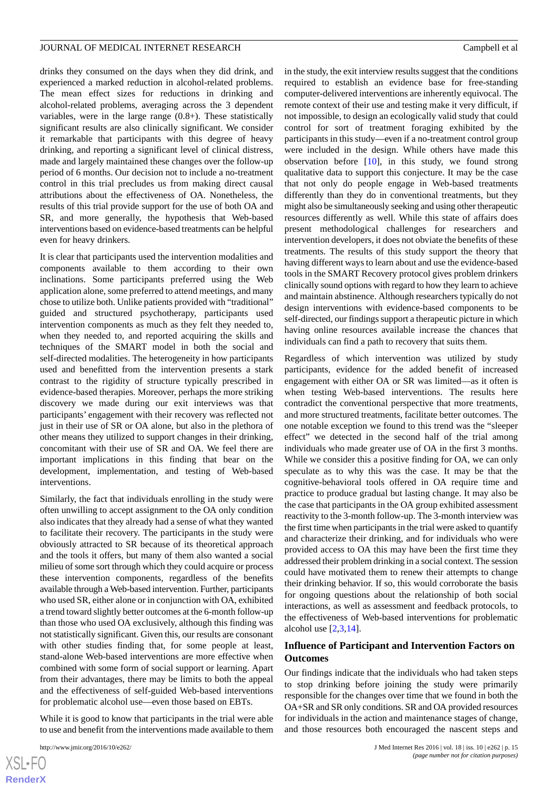drinks they consumed on the days when they did drink, and experienced a marked reduction in alcohol-related problems. The mean effect sizes for reductions in drinking and alcohol-related problems, averaging across the 3 dependent variables, were in the large range (0.8+). These statistically significant results are also clinically significant. We consider it remarkable that participants with this degree of heavy drinking, and reporting a significant level of clinical distress, made and largely maintained these changes over the follow-up period of 6 months. Our decision not to include a no-treatment control in this trial precludes us from making direct causal attributions about the effectiveness of OA. Nonetheless, the results of this trial provide support for the use of both OA and SR, and more generally, the hypothesis that Web-based interventions based on evidence-based treatments can be helpful even for heavy drinkers.

It is clear that participants used the intervention modalities and components available to them according to their own inclinations. Some participants preferred using the Web application alone, some preferred to attend meetings, and many chose to utilize both. Unlike patients provided with "traditional" guided and structured psychotherapy, participants used intervention components as much as they felt they needed to, when they needed to, and reported acquiring the skills and techniques of the SMART model in both the social and self-directed modalities. The heterogeneity in how participants used and benefitted from the intervention presents a stark contrast to the rigidity of structure typically prescribed in evidence-based therapies. Moreover, perhaps the more striking discovery we made during our exit interviews was that participants' engagement with their recovery was reflected not just in their use of SR or OA alone, but also in the plethora of other means they utilized to support changes in their drinking, concomitant with their use of SR and OA. We feel there are important implications in this finding that bear on the development, implementation, and testing of Web-based interventions.

Similarly, the fact that individuals enrolling in the study were often unwilling to accept assignment to the OA only condition also indicates that they already had a sense of what they wanted to facilitate their recovery. The participants in the study were obviously attracted to SR because of its theoretical approach and the tools it offers, but many of them also wanted a social milieu of some sort through which they could acquire or process these intervention components, regardless of the benefits available through a Web-based intervention. Further, participants who used SR, either alone or in conjunction with OA, exhibited a trend toward slightly better outcomes at the 6-month follow-up than those who used OA exclusively, although this finding was not statistically significant. Given this, our results are consonant with other studies finding that, for some people at least, stand-alone Web-based interventions are more effective when combined with some form of social support or learning. Apart from their advantages, there may be limits to both the appeal and the effectiveness of self-guided Web-based interventions for problematic alcohol use—even those based on EBTs.

While it is good to know that participants in the trial were able to use and benefit from the interventions made available to them

in the study, the exit interview results suggest that the conditions required to establish an evidence base for free-standing computer-delivered interventions are inherently equivocal. The remote context of their use and testing make it very difficult, if not impossible, to design an ecologically valid study that could control for sort of treatment foraging exhibited by the participants in this study—even if a no-treatment control group were included in the design. While others have made this observation before [[10\]](#page-17-1), in this study, we found strong qualitative data to support this conjecture. It may be the case that not only do people engage in Web-based treatments differently than they do in conventional treatments, but they might also be simultaneously seeking and using other therapeutic resources differently as well. While this state of affairs does present methodological challenges for researchers and intervention developers, it does not obviate the benefits of these treatments. The results of this study support the theory that having different ways to learn about and use the evidence-based tools in the SMART Recovery protocol gives problem drinkers clinically sound options with regard to how they learn to achieve and maintain abstinence. Although researchers typically do not design interventions with evidence-based components to be self-directed, our findings support a therapeutic picture in which having online resources available increase the chances that individuals can find a path to recovery that suits them.

Regardless of which intervention was utilized by study participants, evidence for the added benefit of increased engagement with either OA or SR was limited—as it often is when testing Web-based interventions. The results here contradict the conventional perspective that more treatments, and more structured treatments, facilitate better outcomes. The one notable exception we found to this trend was the "sleeper effect" we detected in the second half of the trial among individuals who made greater use of OA in the first 3 months. While we consider this a positive finding for OA, we can only speculate as to why this was the case. It may be that the cognitive-behavioral tools offered in OA require time and practice to produce gradual but lasting change. It may also be the case that participants in the OA group exhibited assessment reactivity to the 3-month follow-up. The 3-month interview was the first time when participants in the trial were asked to quantify and characterize their drinking, and for individuals who were provided access to OA this may have been the first time they addressed their problem drinking in a social context. The session could have motivated them to renew their attempts to change their drinking behavior. If so, this would corroborate the basis for ongoing questions about the relationship of both social interactions, as well as assessment and feedback protocols, to the effectiveness of Web-based interventions for problematic alcohol use [[2,](#page-16-3)[3](#page-16-1),[14\]](#page-17-4).

#### **Influence of Participant and Intervention Factors on Outcomes**

Our findings indicate that the individuals who had taken steps to stop drinking before joining the study were primarily responsible for the changes over time that we found in both the OA+SR and SR only conditions. SR and OA provided resources for individuals in the action and maintenance stages of change, and those resources both encouraged the nascent steps and

```
XSL•FO
RenderX
```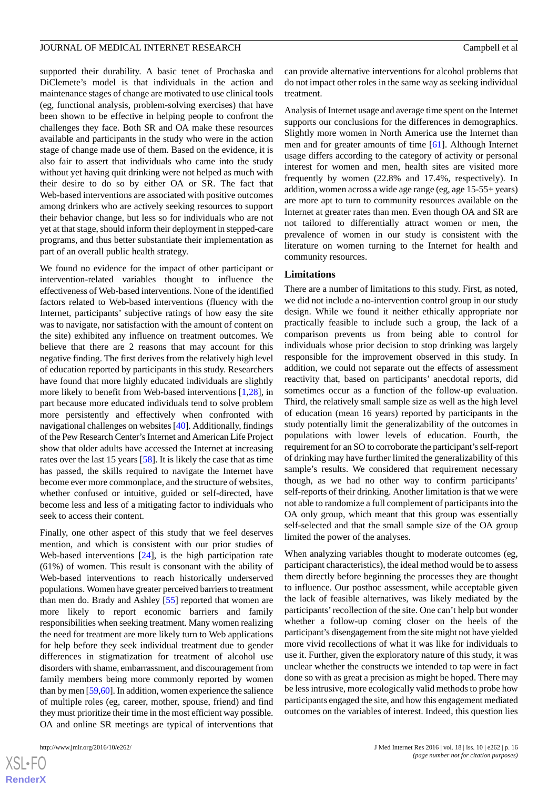supported their durability. A basic tenet of Prochaska and DiClemete's model is that individuals in the action and maintenance stages of change are motivated to use clinical tools (eg, functional analysis, problem-solving exercises) that have been shown to be effective in helping people to confront the challenges they face. Both SR and OA make these resources available and participants in the study who were in the action stage of change made use of them. Based on the evidence, it is also fair to assert that individuals who came into the study without yet having quit drinking were not helped as much with their desire to do so by either OA or SR. The fact that Web-based interventions are associated with positive outcomes among drinkers who are actively seeking resources to support their behavior change, but less so for individuals who are not yet at that stage, should inform their deployment in stepped-care programs, and thus better substantiate their implementation as part of an overall public health strategy.

We found no evidence for the impact of other participant or intervention-related variables thought to influence the effectiveness of Web-based interventions. None of the identified factors related to Web-based interventions (fluency with the Internet, participants' subjective ratings of how easy the site was to navigate, nor satisfaction with the amount of content on the site) exhibited any influence on treatment outcomes. We believe that there are 2 reasons that may account for this negative finding. The first derives from the relatively high level of education reported by participants in this study. Researchers have found that more highly educated individuals are slightly more likely to benefit from Web-based interventions [[1,](#page-16-0)[28\]](#page-18-0), in part because more educated individuals tend to solve problem more persistently and effectively when confronted with navigational challenges on websites [\[40\]](#page-18-13). Additionally, findings of the Pew Research Center's Internet and American Life Project show that older adults have accessed the Internet at increasing rates over the last 15 years [\[58](#page-19-5)]. It is likely the case that as time has passed, the skills required to navigate the Internet have become ever more commonplace, and the structure of websites, whether confused or intuitive, guided or self-directed, have become less and less of a mitigating factor to individuals who seek to access their content.

Finally, one other aspect of this study that we feel deserves mention, and which is consistent with our prior studies of Web-based interventions [\[24](#page-17-16)], is the high participation rate (61%) of women. This result is consonant with the ability of Web-based interventions to reach historically underserved populations. Women have greater perceived barriers to treatment than men do. Brady and Ashley [[55\]](#page-19-2) reported that women are more likely to report economic barriers and family responsibilities when seeking treatment. Many women realizing the need for treatment are more likely turn to Web applications for help before they seek individual treatment due to gender differences in stigmatization for treatment of alcohol use disorders with shame, embarrassment, and discouragement from family members being more commonly reported by women than by men [\[59](#page-19-6)[,60](#page-19-7)]. In addition, women experience the salience of multiple roles (eg, career, mother, spouse, friend) and find they must prioritize their time in the most efficient way possible. OA and online SR meetings are typical of interventions that

 $XS$  $\cdot$ FC **[RenderX](http://www.renderx.com/)** can provide alternative interventions for alcohol problems that do not impact other roles in the same way as seeking individual treatment.

Analysis of Internet usage and average time spent on the Internet supports our conclusions for the differences in demographics. Slightly more women in North America use the Internet than men and for greater amounts of time [\[61](#page-19-8)]. Although Internet usage differs according to the category of activity or personal interest for women and men, health sites are visited more frequently by women (22.8% and 17.4%, respectively). In addition, women across a wide age range (eg, age 15-55+ years) are more apt to turn to community resources available on the Internet at greater rates than men. Even though OA and SR are not tailored to differentially attract women or men, the prevalence of women in our study is consistent with the literature on women turning to the Internet for health and community resources.

#### **Limitations**

There are a number of limitations to this study. First, as noted, we did not include a no-intervention control group in our study design. While we found it neither ethically appropriate nor practically feasible to include such a group, the lack of a comparison prevents us from being able to control for individuals whose prior decision to stop drinking was largely responsible for the improvement observed in this study. In addition, we could not separate out the effects of assessment reactivity that, based on participants' anecdotal reports, did sometimes occur as a function of the follow-up evaluation. Third, the relatively small sample size as well as the high level of education (mean 16 years) reported by participants in the study potentially limit the generalizability of the outcomes in populations with lower levels of education. Fourth, the requirement for an SO to corroborate the participant's self-report of drinking may have further limited the generalizability of this sample's results. We considered that requirement necessary though, as we had no other way to confirm participants' self-reports of their drinking. Another limitation is that we were not able to randomize a full complement of participants into the OA only group, which meant that this group was essentially self-selected and that the small sample size of the OA group limited the power of the analyses.

When analyzing variables thought to moderate outcomes (eg, participant characteristics), the ideal method would be to assess them directly before beginning the processes they are thought to influence. Our posthoc assessment, while acceptable given the lack of feasible alternatives, was likely mediated by the participants'recollection of the site. One can't help but wonder whether a follow-up coming closer on the heels of the participant's disengagement from the site might not have yielded more vivid recollections of what it was like for individuals to use it. Further, given the exploratory nature of this study, it was unclear whether the constructs we intended to tap were in fact done so with as great a precision as might be hoped. There may be less intrusive, more ecologically valid methods to probe how participants engaged the site, and how this engagement mediated outcomes on the variables of interest. Indeed, this question lies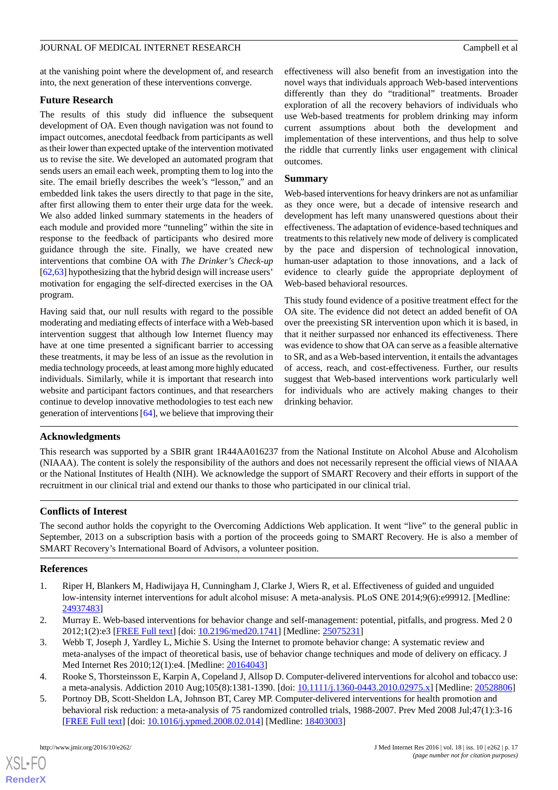at the vanishing point where the development of, and research into, the next generation of these interventions converge.

#### **Future Research**

The results of this study did influence the subsequent development of OA. Even though navigation was not found to impact outcomes, anecdotal feedback from participants as well as their lower than expected uptake of the intervention motivated us to revise the site. We developed an automated program that sends users an email each week, prompting them to log into the site. The email briefly describes the week's "lesson," and an embedded link takes the users directly to that page in the site, after first allowing them to enter their urge data for the week. We also added linked summary statements in the headers of each module and provided more "tunneling" within the site in response to the feedback of participants who desired more guidance through the site. Finally, we have created new interventions that combine OA with *The Drinker's Check-up* [[62,](#page-19-9)[63\]](#page-19-10) hypothesizing that the hybrid design will increase users' motivation for engaging the self-directed exercises in the OA program.

Having said that, our null results with regard to the possible moderating and mediating effects of interface with a Web-based intervention suggest that although low Internet fluency may have at one time presented a significant barrier to accessing these treatments, it may be less of an issue as the revolution in media technology proceeds, at least among more highly educated individuals. Similarly, while it is important that research into website and participant factors continues, and that researchers continue to develop innovative methodologies to test each new generation of interventions [[64\]](#page-19-11), we believe that improving their

effectiveness will also benefit from an investigation into the novel ways that individuals approach Web-based interventions differently than they do "traditional" treatments. Broader exploration of all the recovery behaviors of individuals who use Web-based treatments for problem drinking may inform current assumptions about both the development and implementation of these interventions, and thus help to solve the riddle that currently links user engagement with clinical outcomes.

#### **Summary**

Web-based interventions for heavy drinkers are not as unfamiliar as they once were, but a decade of intensive research and development has left many unanswered questions about their effectiveness. The adaptation of evidence-based techniques and treatments to this relatively new mode of delivery is complicated by the pace and dispersion of technological innovation, human-user adaptation to those innovations, and a lack of evidence to clearly guide the appropriate deployment of Web-based behavioral resources.

This study found evidence of a positive treatment effect for the OA site. The evidence did not detect an added benefit of OA over the preexisting SR intervention upon which it is based, in that it neither surpassed nor enhanced its effectiveness. There was evidence to show that OA can serve as a feasible alternative to SR, and as a Web-based intervention, it entails the advantages of access, reach, and cost-effectiveness. Further, our results suggest that Web-based interventions work particularly well for individuals who are actively making changes to their drinking behavior.

#### **Acknowledgments**

This research was supported by a SBIR grant 1R44AA016237 from the National Institute on Alcohol Abuse and Alcoholism (NIAAA). The content is solely the responsibility of the authors and does not necessarily represent the official views of NIAAA or the National Institutes of Health (NIH). We acknowledge the support of SMART Recovery and their efforts in support of the recruitment in our clinical trial and extend our thanks to those who participated in our clinical trial.

#### **Conflicts of Interest**

<span id="page-16-0"></span>The second author holds the copyright to the Overcoming Addictions Web application. It went "live" to the general public in September, 2013 on a subscription basis with a portion of the proceeds going to SMART Recovery. He is also a member of SMART Recovery's International Board of Advisors, a volunteer position.

#### <span id="page-16-3"></span>**References**

- <span id="page-16-1"></span>1. Riper H, Blankers M, Hadiwijaya H, Cunningham J, Clarke J, Wiers R, et al. Effectiveness of guided and unguided low-intensity internet interventions for adult alcohol misuse: A meta-analysis. PLoS ONE 2014;9(6):e99912. [Medline: [24937483](http://www.ncbi.nlm.nih.gov/entrez/query.fcgi?cmd=Retrieve&db=PubMed&list_uids=24937483&dopt=Abstract)]
- <span id="page-16-4"></span><span id="page-16-2"></span>2. Murray E. Web-based interventions for behavior change and self-management: potential, pitfalls, and progress. Med 2 0 2012;1(2):e3 [\[FREE Full text](http://www.medicine20.com/2012/2/e3/)] [doi: [10.2196/med20.1741\]](http://dx.doi.org/10.2196/med20.1741) [Medline: [25075231](http://www.ncbi.nlm.nih.gov/entrez/query.fcgi?cmd=Retrieve&db=PubMed&list_uids=25075231&dopt=Abstract)]
- 3. Webb T, Joseph J, Yardley L, Michie S. Using the Internet to promote behavior change: A systematic review and meta-analyses of the impact of theoretical basis, use of behavior change techniques and mode of delivery on efficacy. J Med Internet Res 2010;12(1):e4. [Medline: [20164043](http://www.ncbi.nlm.nih.gov/entrez/query.fcgi?cmd=Retrieve&db=PubMed&list_uids=20164043&dopt=Abstract)]
- 4. Rooke S, Thorsteinsson E, Karpin A, Copeland J, Allsop D. Computer-delivered interventions for alcohol and tobacco use: a meta-analysis. Addiction 2010 Aug;105(8):1381-1390. [doi: [10.1111/j.1360-0443.2010.02975.x](http://dx.doi.org/10.1111/j.1360-0443.2010.02975.x)] [Medline: [20528806\]](http://www.ncbi.nlm.nih.gov/entrez/query.fcgi?cmd=Retrieve&db=PubMed&list_uids=20528806&dopt=Abstract)
- 5. Portnoy DB, Scott-Sheldon LA, Johnson BT, Carey MP. Computer-delivered interventions for health promotion and behavioral risk reduction: a meta-analysis of 75 randomized controlled trials, 1988-2007. Prev Med 2008 Jul;47(1):3-16 [[FREE Full text](http://europepmc.org/abstract/MED/18403003)] [doi: [10.1016/j.ypmed.2008.02.014\]](http://dx.doi.org/10.1016/j.ypmed.2008.02.014) [Medline: [18403003\]](http://www.ncbi.nlm.nih.gov/entrez/query.fcgi?cmd=Retrieve&db=PubMed&list_uids=18403003&dopt=Abstract)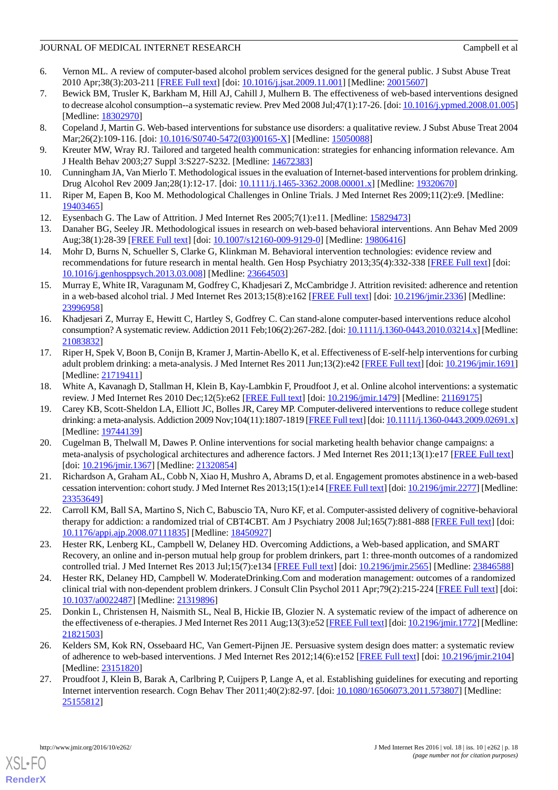- 6. Vernon ML. A review of computer-based alcohol problem services designed for the general public. J Subst Abuse Treat 2010 Apr;38(3):203-211 [[FREE Full text](http://europepmc.org/abstract/MED/20015607)] [doi: [10.1016/j.jsat.2009.11.001\]](http://dx.doi.org/10.1016/j.jsat.2009.11.001) [Medline: [20015607](http://www.ncbi.nlm.nih.gov/entrez/query.fcgi?cmd=Retrieve&db=PubMed&list_uids=20015607&dopt=Abstract)]
- 7. Bewick BM, Trusler K, Barkham M, Hill AJ, Cahill J, Mulhern B. The effectiveness of web-based interventions designed to decrease alcohol consumption--a systematic review. Prev Med 2008 Jul;47(1):17-26. [doi: [10.1016/j.ypmed.2008.01.005\]](http://dx.doi.org/10.1016/j.ypmed.2008.01.005) [Medline: [18302970](http://www.ncbi.nlm.nih.gov/entrez/query.fcgi?cmd=Retrieve&db=PubMed&list_uids=18302970&dopt=Abstract)]
- <span id="page-17-0"></span>8. Copeland J, Martin G. Web-based interventions for substance use disorders: a qualitative review. J Subst Abuse Treat 2004 Mar;26(2):109-116. [doi: [10.1016/S0740-5472\(03\)00165-X](http://dx.doi.org/10.1016/S0740-5472(03)00165-X)] [Medline: [15050088](http://www.ncbi.nlm.nih.gov/entrez/query.fcgi?cmd=Retrieve&db=PubMed&list_uids=15050088&dopt=Abstract)]
- <span id="page-17-1"></span>9. Kreuter MW, Wray RJ. Tailored and targeted health communication: strategies for enhancing information relevance. Am J Health Behav 2003;27 Suppl 3:S227-S232. [Medline: [14672383](http://www.ncbi.nlm.nih.gov/entrez/query.fcgi?cmd=Retrieve&db=PubMed&list_uids=14672383&dopt=Abstract)]
- <span id="page-17-2"></span>10. Cunningham JA, Van Mierlo T. Methodological issues in the evaluation of Internet-based interventions for problem drinking. Drug Alcohol Rev 2009 Jan;28(1):12-17. [doi: [10.1111/j.1465-3362.2008.00001.x\]](http://dx.doi.org/10.1111/j.1465-3362.2008.00001.x) [Medline: [19320670\]](http://www.ncbi.nlm.nih.gov/entrez/query.fcgi?cmd=Retrieve&db=PubMed&list_uids=19320670&dopt=Abstract)
- <span id="page-17-13"></span><span id="page-17-3"></span>11. Riper M, Eapen B, Koo M. Methodological Challenges in Online Trials. J Med Internet Res 2009;11(2):e9. [Medline: [19403465](http://www.ncbi.nlm.nih.gov/entrez/query.fcgi?cmd=Retrieve&db=PubMed&list_uids=19403465&dopt=Abstract)]
- 12. Eysenbach G. The Law of Attrition. J Med Internet Res 2005;7(1):e11. [Medline: [15829473\]](http://www.ncbi.nlm.nih.gov/entrez/query.fcgi?cmd=Retrieve&db=PubMed&list_uids=15829473&dopt=Abstract)
- <span id="page-17-4"></span>13. Danaher BG, Seeley JR. Methodological issues in research on web-based behavioral interventions. Ann Behav Med 2009 Aug;38(1):28-39 [\[FREE Full text](http://europepmc.org/abstract/MED/19806416)] [doi: [10.1007/s12160-009-9129-0\]](http://dx.doi.org/10.1007/s12160-009-9129-0) [Medline: [19806416\]](http://www.ncbi.nlm.nih.gov/entrez/query.fcgi?cmd=Retrieve&db=PubMed&list_uids=19806416&dopt=Abstract)
- <span id="page-17-5"></span>14. Mohr D, Burns N, Schueller S, Clarke G, Klinkman M. Behavioral intervention technologies: evidence review and recommendations for future research in mental health. Gen Hosp Psychiatry 2013;35(4):332-338 [[FREE Full text](http://linkinghub.elsevier.com/retrieve/pii/S0163-8343(13)00069-8)] [doi: [10.1016/j.genhosppsych.2013.03.008](http://dx.doi.org/10.1016/j.genhosppsych.2013.03.008)] [Medline: [23664503](http://www.ncbi.nlm.nih.gov/entrez/query.fcgi?cmd=Retrieve&db=PubMed&list_uids=23664503&dopt=Abstract)]
- <span id="page-17-6"></span>15. Murray E, White IR, Varagunam M, Godfrey C, Khadjesari Z, McCambridge J. Attrition revisited: adherence and retention in a web-based alcohol trial. J Med Internet Res 2013;15(8):e162 [[FREE Full text](http://www.jmir.org/2013/8/e162/)] [doi: [10.2196/jmir.2336](http://dx.doi.org/10.2196/jmir.2336)] [Medline: [23996958](http://www.ncbi.nlm.nih.gov/entrez/query.fcgi?cmd=Retrieve&db=PubMed&list_uids=23996958&dopt=Abstract)]
- 16. Khadjesari Z, Murray E, Hewitt C, Hartley S, Godfrey C. Can stand-alone computer-based interventions reduce alcohol consumption? A systematic review. Addiction 2011 Feb;106(2):267-282. [doi: [10.1111/j.1360-0443.2010.03214.x](http://dx.doi.org/10.1111/j.1360-0443.2010.03214.x)] [Medline: [21083832](http://www.ncbi.nlm.nih.gov/entrez/query.fcgi?cmd=Retrieve&db=PubMed&list_uids=21083832&dopt=Abstract)]
- <span id="page-17-7"></span>17. Riper H, Spek V, Boon B, Conijn B, Kramer J, Martin-Abello K, et al. Effectiveness of E-self-help interventions for curbing adult problem drinking: a meta-analysis. J Med Internet Res 2011 Jun;13(2):e42 [\[FREE Full text](http://www.jmir.org/2011/2/e42/)] [doi: [10.2196/jmir.1691](http://dx.doi.org/10.2196/jmir.1691)] [Medline: [21719411](http://www.ncbi.nlm.nih.gov/entrez/query.fcgi?cmd=Retrieve&db=PubMed&list_uids=21719411&dopt=Abstract)]
- 18. White A, Kavanagh D, Stallman H, Klein B, Kay-Lambkin F, Proudfoot J, et al. Online alcohol interventions: a systematic review. J Med Internet Res 2010 Dec;12(5):e62 [[FREE Full text](http://www.jmir.org/2010/5/e62/)] [doi: [10.2196/jmir.1479\]](http://dx.doi.org/10.2196/jmir.1479) [Medline: [21169175](http://www.ncbi.nlm.nih.gov/entrez/query.fcgi?cmd=Retrieve&db=PubMed&list_uids=21169175&dopt=Abstract)]
- <span id="page-17-8"></span>19. Carey KB, Scott-Sheldon LA, Elliott JC, Bolles JR, Carey MP. Computer-delivered interventions to reduce college student drinking: a meta-analysis. Addiction 2009 Nov;104(11):1807-1819 [[FREE Full text](http://europepmc.org/abstract/MED/19744139)] [doi: [10.1111/j.1360-0443.2009.02691.x\]](http://dx.doi.org/10.1111/j.1360-0443.2009.02691.x) [Medline: [19744139](http://www.ncbi.nlm.nih.gov/entrez/query.fcgi?cmd=Retrieve&db=PubMed&list_uids=19744139&dopt=Abstract)]
- <span id="page-17-14"></span><span id="page-17-9"></span>20. Cugelman B, Thelwall M, Dawes P. Online interventions for social marketing health behavior change campaigns: a meta-analysis of psychological architectures and adherence factors. J Med Internet Res 2011;13(1):e17 [\[FREE Full text\]](http://www.jmir.org/2011/1/e17/) [doi: [10.2196/jmir.1367\]](http://dx.doi.org/10.2196/jmir.1367) [Medline: [21320854\]](http://www.ncbi.nlm.nih.gov/entrez/query.fcgi?cmd=Retrieve&db=PubMed&list_uids=21320854&dopt=Abstract)
- <span id="page-17-10"></span>21. Richardson A, Graham AL, Cobb N, Xiao H, Mushro A, Abrams D, et al. Engagement promotes abstinence in a web-based cessation intervention: cohort study. J Med Internet Res 2013;15(1):e14 [[FREE Full text\]](http://www.jmir.org/2013/1/e14/) [doi: [10.2196/jmir.2277](http://dx.doi.org/10.2196/jmir.2277)] [Medline: [23353649](http://www.ncbi.nlm.nih.gov/entrez/query.fcgi?cmd=Retrieve&db=PubMed&list_uids=23353649&dopt=Abstract)]
- <span id="page-17-16"></span>22. Carroll KM, Ball SA, Martino S, Nich C, Babuscio TA, Nuro KF, et al. Computer-assisted delivery of cognitive-behavioral therapy for addiction: a randomized trial of CBT4CBT. Am J Psychiatry 2008 Jul;165(7):881-888 [[FREE Full text](http://europepmc.org/abstract/MED/18450927)] [doi: [10.1176/appi.ajp.2008.07111835\]](http://dx.doi.org/10.1176/appi.ajp.2008.07111835) [Medline: [18450927](http://www.ncbi.nlm.nih.gov/entrez/query.fcgi?cmd=Retrieve&db=PubMed&list_uids=18450927&dopt=Abstract)]
- <span id="page-17-11"></span>23. Hester RK, Lenberg KL, Campbell W, Delaney HD. Overcoming Addictions, a Web-based application, and SMART Recovery, an online and in-person mutual help group for problem drinkers, part 1: three-month outcomes of a randomized controlled trial. J Med Internet Res 2013 Jul;15(7):e134 [[FREE Full text](http://www.jmir.org/2013/7/e134/)] [doi: [10.2196/jmir.2565](http://dx.doi.org/10.2196/jmir.2565)] [Medline: [23846588\]](http://www.ncbi.nlm.nih.gov/entrez/query.fcgi?cmd=Retrieve&db=PubMed&list_uids=23846588&dopt=Abstract)
- <span id="page-17-12"></span>24. Hester RK, Delaney HD, Campbell W. ModerateDrinking.Com and moderation management: outcomes of a randomized clinical trial with non-dependent problem drinkers. J Consult Clin Psychol 2011 Apr;79(2):215-224 [\[FREE Full text](http://europepmc.org/abstract/MED/21319896)] [doi: [10.1037/a0022487](http://dx.doi.org/10.1037/a0022487)] [Medline: [21319896](http://www.ncbi.nlm.nih.gov/entrez/query.fcgi?cmd=Retrieve&db=PubMed&list_uids=21319896&dopt=Abstract)]
- <span id="page-17-15"></span>25. Donkin L, Christensen H, Naismith SL, Neal B, Hickie IB, Glozier N. A systematic review of the impact of adherence on the effectiveness of e-therapies. J Med Internet Res 2011 Aug;13(3):e52 [\[FREE Full text\]](http://www.jmir.org/2011/3/e52/) [doi: [10.2196/jmir.1772\]](http://dx.doi.org/10.2196/jmir.1772) [Medline: [21821503](http://www.ncbi.nlm.nih.gov/entrez/query.fcgi?cmd=Retrieve&db=PubMed&list_uids=21821503&dopt=Abstract)]
- 26. Kelders SM, Kok RN, Ossebaard HC, Van Gemert-Pijnen JE. Persuasive system design does matter: a systematic review of adherence to web-based interventions. J Med Internet Res 2012;14(6):e152 [[FREE Full text](http://www.jmir.org/2012/6/e152/)] [doi: [10.2196/jmir.2104](http://dx.doi.org/10.2196/jmir.2104)] [Medline: [23151820](http://www.ncbi.nlm.nih.gov/entrez/query.fcgi?cmd=Retrieve&db=PubMed&list_uids=23151820&dopt=Abstract)]
- 27. Proudfoot J, Klein B, Barak A, Carlbring P, Cuijpers P, Lange A, et al. Establishing guidelines for executing and reporting Internet intervention research. Cogn Behav Ther 2011;40(2):82-97. [doi: [10.1080/16506073.2011.573807\]](http://dx.doi.org/10.1080/16506073.2011.573807) [Medline: [25155812](http://www.ncbi.nlm.nih.gov/entrez/query.fcgi?cmd=Retrieve&db=PubMed&list_uids=25155812&dopt=Abstract)]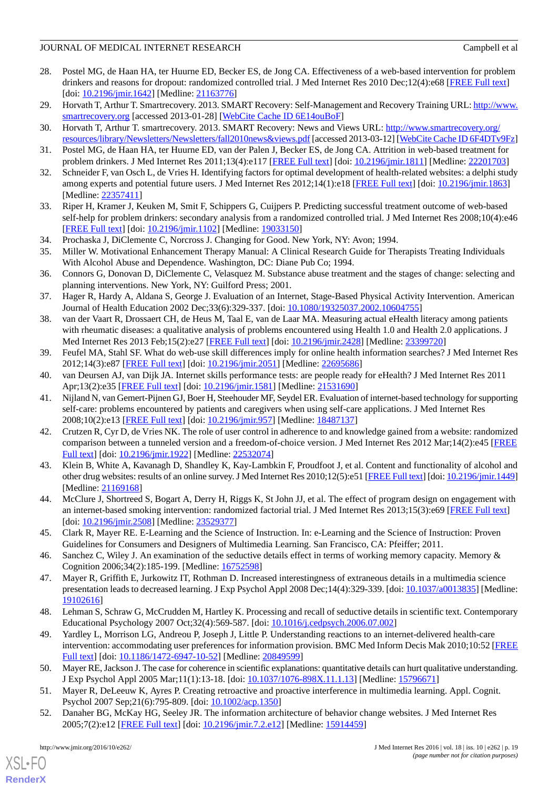- <span id="page-18-0"></span>28. Postel MG, de Haan HA, ter Huurne ED, Becker ES, de Jong CA. Effectiveness of a web-based intervention for problem drinkers and reasons for dropout: randomized controlled trial. J Med Internet Res 2010 Dec;12(4):e68 [[FREE Full text](http://www.jmir.org/2010/4/e68/)] [doi: [10.2196/jmir.1642\]](http://dx.doi.org/10.2196/jmir.1642) [Medline: [21163776\]](http://www.ncbi.nlm.nih.gov/entrez/query.fcgi?cmd=Retrieve&db=PubMed&list_uids=21163776&dopt=Abstract)
- <span id="page-18-2"></span><span id="page-18-1"></span>29. Horvath T, Arthur T. Smartrecovery. 2013. SMART Recovery: Self-Management and Recovery Training URL: [http://www.](http://www.smartrecovery.org) [smartrecovery.org](http://www.smartrecovery.org) [accessed 2013-01-28] [[WebCite Cache ID 6E14ouBoF\]](http://www.webcitation.org/

                                            6E14ouBoF)
- <span id="page-18-3"></span>30. Horvath T, Arthur T. smartrecovery. 2013. SMART Recovery: News and Views URL: [http://www.smartrecovery.org/](http://www.smartrecovery.org/resources/library/Newsletters/Newsletters/fall2010news&views.pdf) [resources/library/Newsletters/Newsletters/fall2010news&views.pdf](http://www.smartrecovery.org/resources/library/Newsletters/Newsletters/fall2010news&views.pdf) [accessed 2013-03-12] [\[WebCite Cache ID 6F4DTv9Fz\]](http://www.webcitation.org/

                                            6F4DTv9Fz)
- <span id="page-18-4"></span>31. Postel MG, de Haan HA, ter Huurne ED, van der Palen J, Becker ES, de Jong CA. Attrition in web-based treatment for problem drinkers. J Med Internet Res 2011;13(4):e117 [[FREE Full text](http://www.jmir.org/2011/4/e117/)] [doi: [10.2196/jmir.1811](http://dx.doi.org/10.2196/jmir.1811)] [Medline: [22201703](http://www.ncbi.nlm.nih.gov/entrez/query.fcgi?cmd=Retrieve&db=PubMed&list_uids=22201703&dopt=Abstract)]
- <span id="page-18-5"></span>32. Schneider F, van Osch L, de Vries H. Identifying factors for optimal development of health-related websites: a delphi study among experts and potential future users. J Med Internet Res 2012;14(1):e18 [[FREE Full text](http://www.jmir.org/2012/1/e18/)] [doi: [10.2196/jmir.1863](http://dx.doi.org/10.2196/jmir.1863)] [Medline: [22357411](http://www.ncbi.nlm.nih.gov/entrez/query.fcgi?cmd=Retrieve&db=PubMed&list_uids=22357411&dopt=Abstract)]
- <span id="page-18-6"></span>33. Riper H, Kramer J, Keuken M, Smit F, Schippers G, Cuijpers P. Predicting successful treatment outcome of web-based self-help for problem drinkers: secondary analysis from a randomized controlled trial. J Med Internet Res 2008;10(4):e46 [[FREE Full text](http://www.jmir.org/2008/4/e46/)] [doi: [10.2196/jmir.1102](http://dx.doi.org/10.2196/jmir.1102)] [Medline: [19033150](http://www.ncbi.nlm.nih.gov/entrez/query.fcgi?cmd=Retrieve&db=PubMed&list_uids=19033150&dopt=Abstract)]
- <span id="page-18-7"></span>34. Prochaska J, DiClemente C, Norcross J. Changing for Good. New York, NY: Avon; 1994.
- <span id="page-18-8"></span>35. Miller W. Motivational Enhancement Therapy Manual: A Clinical Research Guide for Therapists Treating Individuals With Alcohol Abuse and Dependence. Washington, DC: Diane Pub Co; 1994.
- <span id="page-18-9"></span>36. Connors G, Donovan D, DiClemente C, Velasquez M. Substance abuse treatment and the stages of change: selecting and planning interventions. New York, NY: Guilford Press; 2001.
- <span id="page-18-10"></span>37. Hager R, Hardy A, Aldana S, George J. Evaluation of an Internet, Stage-Based Physical Activity Intervention. American Journal of Health Education 2002 Dec;33(6):329-337. [doi: [10.1080/19325037.2002.10604755](http://dx.doi.org/10.1080/19325037.2002.10604755)]
- 38. van der Vaart R, Drossaert CH, de Heus M, Taal E, van de Laar MA. Measuring actual eHealth literacy among patients with rheumatic diseases: a qualitative analysis of problems encountered using Health 1.0 and Health 2.0 applications. J Med Internet Res 2013 Feb;15(2):e27 [\[FREE Full text\]](http://www.jmir.org/2013/2/e27/) [doi: [10.2196/jmir.2428\]](http://dx.doi.org/10.2196/jmir.2428) [Medline: [23399720\]](http://www.ncbi.nlm.nih.gov/entrez/query.fcgi?cmd=Retrieve&db=PubMed&list_uids=23399720&dopt=Abstract)
- <span id="page-18-13"></span><span id="page-18-11"></span>39. Feufel MA, Stahl SF. What do web-use skill differences imply for online health information searches? J Med Internet Res 2012;14(3):e87 [\[FREE Full text](http://www.jmir.org/2012/3/e87/)] [doi: [10.2196/jmir.2051\]](http://dx.doi.org/10.2196/jmir.2051) [Medline: [22695686](http://www.ncbi.nlm.nih.gov/entrez/query.fcgi?cmd=Retrieve&db=PubMed&list_uids=22695686&dopt=Abstract)]
- 40. van Deursen AJ, van Dijk JA. Internet skills performance tests: are people ready for eHealth? J Med Internet Res 2011 Apr;13(2):e35 [[FREE Full text\]](http://www.jmir.org/2011/2/e35/) [doi: [10.2196/jmir.1581](http://dx.doi.org/10.2196/jmir.1581)] [Medline: [21531690\]](http://www.ncbi.nlm.nih.gov/entrez/query.fcgi?cmd=Retrieve&db=PubMed&list_uids=21531690&dopt=Abstract)
- <span id="page-18-22"></span>41. Nijland N, van Gemert-Pijnen GJ, Boer H, Steehouder MF, Seydel ER. Evaluation of internet-based technology for supporting self-care: problems encountered by patients and caregivers when using self-care applications. J Med Internet Res 2008;10(2):e13 [\[FREE Full text](http://www.jmir.org/2008/2/e13/)] [doi: [10.2196/jmir.957](http://dx.doi.org/10.2196/jmir.957)] [Medline: [18487137](http://www.ncbi.nlm.nih.gov/entrez/query.fcgi?cmd=Retrieve&db=PubMed&list_uids=18487137&dopt=Abstract)]
- <span id="page-18-12"></span>42. Crutzen R, Cyr D, de Vries NK. The role of user control in adherence to and knowledge gained from a website: randomized comparison between a tunneled version and a freedom-of-choice version. J Med Internet Res 2012 Mar;14(2):e45 [\[FREE](http://www.jmir.org/2012/2/e45/) [Full text\]](http://www.jmir.org/2012/2/e45/) [doi: [10.2196/jmir.1922](http://dx.doi.org/10.2196/jmir.1922)] [Medline: [22532074\]](http://www.ncbi.nlm.nih.gov/entrez/query.fcgi?cmd=Retrieve&db=PubMed&list_uids=22532074&dopt=Abstract)
- <span id="page-18-15"></span><span id="page-18-14"></span>43. Klein B, White A, Kavanagh D, Shandley K, Kay-Lambkin F, Proudfoot J, et al. Content and functionality of alcohol and other drug websites: results of an online survey. J Med Internet Res 2010;12(5):e51 [[FREE Full text](http://www.jmir.org/2010/5/e51/)] [doi: [10.2196/jmir.1449](http://dx.doi.org/10.2196/jmir.1449)] [Medline: [21169168](http://www.ncbi.nlm.nih.gov/entrez/query.fcgi?cmd=Retrieve&db=PubMed&list_uids=21169168&dopt=Abstract)]
- <span id="page-18-16"></span>44. McClure J, Shortreed S, Bogart A, Derry H, Riggs K, St John JJ, et al. The effect of program design on engagement with an internet-based smoking intervention: randomized factorial trial. J Med Internet Res 2013;15(3):e69 [\[FREE Full text\]](http://www.jmir.org/2013/3/e69/) [doi: [10.2196/jmir.2508\]](http://dx.doi.org/10.2196/jmir.2508) [Medline: [23529377\]](http://www.ncbi.nlm.nih.gov/entrez/query.fcgi?cmd=Retrieve&db=PubMed&list_uids=23529377&dopt=Abstract)
- <span id="page-18-17"></span>45. Clark R, Mayer RE. E-Learning and the Science of Instruction. In: e-Learning and the Science of Instruction: Proven Guidelines for Consumers and Designers of Multimedia Learning. San Francisco, CA: Pfeiffer; 2011.
- <span id="page-18-18"></span>46. Sanchez C, Wiley J. An examination of the seductive details effect in terms of working memory capacity. Memory & Cognition 2006;34(2):185-199. [Medline: [16752598](http://www.ncbi.nlm.nih.gov/entrez/query.fcgi?cmd=Retrieve&db=PubMed&list_uids=16752598&dopt=Abstract)]
- <span id="page-18-19"></span>47. Mayer R, Griffith E, Jurkowitz IT, Rothman D. Increased interestingness of extraneous details in a multimedia science presentation leads to decreased learning. J Exp Psychol Appl 2008 Dec;14(4):329-339. [doi: [10.1037/a0013835\]](http://dx.doi.org/10.1037/a0013835) [Medline: [19102616](http://www.ncbi.nlm.nih.gov/entrez/query.fcgi?cmd=Retrieve&db=PubMed&list_uids=19102616&dopt=Abstract)]
- <span id="page-18-21"></span><span id="page-18-20"></span>48. Lehman S, Schraw G, McCrudden M, Hartley K. Processing and recall of seductive details in scientific text. Contemporary Educational Psychology 2007 Oct;32(4):569-587. [doi: [10.1016/j.cedpsych.2006.07.002](http://dx.doi.org/10.1016/j.cedpsych.2006.07.002)]
- <span id="page-18-23"></span>49. Yardley L, Morrison LG, Andreou P, Joseph J, Little P. Understanding reactions to an internet-delivered health-care intervention: accommodating user preferences for information provision. BMC Med Inform Decis Mak 2010;10:52 [\[FREE](http://www.biomedcentral.com/1472-6947/10/52) [Full text\]](http://www.biomedcentral.com/1472-6947/10/52) [doi: [10.1186/1472-6947-10-52](http://dx.doi.org/10.1186/1472-6947-10-52)] [Medline: [20849599](http://www.ncbi.nlm.nih.gov/entrez/query.fcgi?cmd=Retrieve&db=PubMed&list_uids=20849599&dopt=Abstract)]
- 50. Mayer RE, Jackson J. The case for coherence in scientific explanations: quantitative details can hurt qualitative understanding. J Exp Psychol Appl 2005 Mar;11(1):13-18. [doi: [10.1037/1076-898X.11.1.13\]](http://dx.doi.org/10.1037/1076-898X.11.1.13) [Medline: [15796671](http://www.ncbi.nlm.nih.gov/entrez/query.fcgi?cmd=Retrieve&db=PubMed&list_uids=15796671&dopt=Abstract)]
- 51. Mayer R, DeLeeuw K, Ayres P. Creating retroactive and proactive interference in multimedia learning. Appl. Cognit. Psychol 2007 Sep; 21(6): 795-809. [doi:  $10.1002/acp.1350$ ]
- 52. Danaher BG, McKay HG, Seeley JR. The information architecture of behavior change websites. J Med Internet Res 2005;7(2):e12 [\[FREE Full text](http://www.jmir.org/2005/2/e12/)] [doi: [10.2196/jmir.7.2.e12\]](http://dx.doi.org/10.2196/jmir.7.2.e12) [Medline: [15914459\]](http://www.ncbi.nlm.nih.gov/entrez/query.fcgi?cmd=Retrieve&db=PubMed&list_uids=15914459&dopt=Abstract)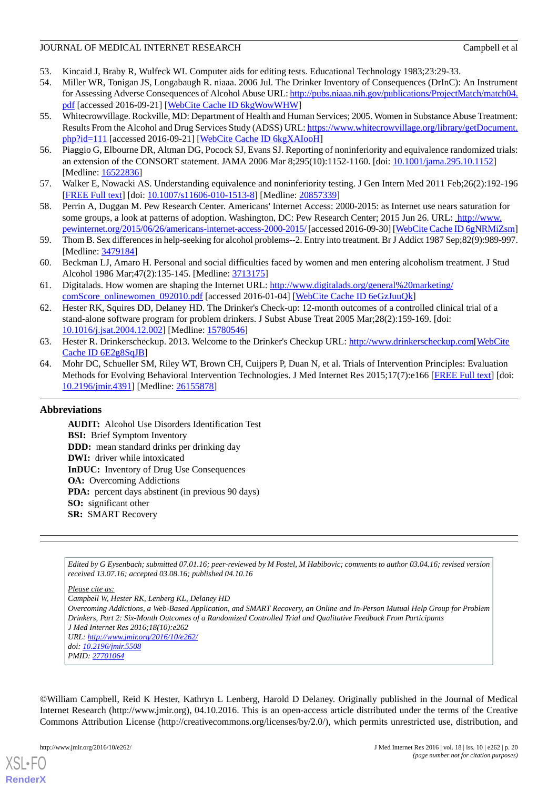- <span id="page-19-1"></span><span id="page-19-0"></span>53. Kincaid J, Braby R, Wulfeck WI. Computer aids for editing tests. Educational Technology 1983;23:29-33.
- 54. Miller WR, Tonigan JS, Longabaugh R. niaaa. 2006 Jul. The Drinker Inventory of Consequences (DrInC): An Instrument for Assessing Adverse Consequences of Alcohol Abuse URL: [http://pubs.niaaa.nih.gov/publications/ProjectMatch/match04.](http://pubs.niaaa.nih.gov/publications/ProjectMatch/match04.pdf) [pdf](http://pubs.niaaa.nih.gov/publications/ProjectMatch/match04.pdf) [accessed 2016-09-21] [[WebCite Cache ID 6kgWowWHW](http://www.webcitation.org/

                                            6kgWowWHW)]
- <span id="page-19-2"></span>55. Whitecrowvillage. Rockville, MD: Department of Health and Human Services; 2005. Women in Substance Abuse Treatment: Results From the Alcohol and Drug Services Study (ADSS) URL: [https://www.whitecrowvillage.org/library/getDocument.](https://www.whitecrowvillage.org/library/getDocument.php?id=111) [php?id=111](https://www.whitecrowvillage.org/library/getDocument.php?id=111) [accessed 2016-09-21] [[WebCite Cache ID 6kgXAIooH](http://www.webcitation.org/

                                            6kgXAIooH)]
- <span id="page-19-4"></span><span id="page-19-3"></span>56. Piaggio G, Elbourne DR, Altman DG, Pocock SJ, Evans SJ. Reporting of noninferiority and equivalence randomized trials: an extension of the CONSORT statement. JAMA 2006 Mar 8;295(10):1152-1160. [doi: [10.1001/jama.295.10.1152](http://dx.doi.org/10.1001/jama.295.10.1152)] [Medline: [16522836](http://www.ncbi.nlm.nih.gov/entrez/query.fcgi?cmd=Retrieve&db=PubMed&list_uids=16522836&dopt=Abstract)]
- <span id="page-19-5"></span>57. Walker E, Nowacki AS. Understanding equivalence and noninferiority testing. J Gen Intern Med 2011 Feb;26(2):192-196 [[FREE Full text](http://europepmc.org/abstract/MED/20857339)] [doi: [10.1007/s11606-010-1513-8\]](http://dx.doi.org/10.1007/s11606-010-1513-8) [Medline: [20857339](http://www.ncbi.nlm.nih.gov/entrez/query.fcgi?cmd=Retrieve&db=PubMed&list_uids=20857339&dopt=Abstract)]
- <span id="page-19-6"></span>58. Perrin A, Duggan M. Pew Research Center. Americans' Internet Access: 2000-2015: as Internet use nears saturation for some groups, a look at patterns of adoption. Washington, DC: Pew Research Center; 2015 Jun 26. URL: [http://www.](http://www.pewinternet.org/2015/06/26/americans-internet-access-2000-2015/) [pewinternet.org/2015/06/26/americans-internet-access-2000-2015/](http://www.pewinternet.org/2015/06/26/americans-internet-access-2000-2015/) [accessed 2016-09-30] [\[WebCite Cache ID 6gNRMiZsm\]](http://www.webcitation.org/

                                            6gNRMiZsm)
- <span id="page-19-7"></span>59. Thom B. Sex differences in help-seeking for alcohol problems--2. Entry into treatment. Br J Addict 1987 Sep;82(9):989-997. [Medline: [3479184\]](http://www.ncbi.nlm.nih.gov/entrez/query.fcgi?cmd=Retrieve&db=PubMed&list_uids=3479184&dopt=Abstract)
- <span id="page-19-8"></span>60. Beckman LJ, Amaro H. Personal and social difficulties faced by women and men entering alcoholism treatment. J Stud Alcohol 1986 Mar;47(2):135-145. [Medline: [3713175\]](http://www.ncbi.nlm.nih.gov/entrez/query.fcgi?cmd=Retrieve&db=PubMed&list_uids=3713175&dopt=Abstract)
- <span id="page-19-9"></span>61. Digitalads. How women are shaping the Internet URL: [http://www.digitalads.org/general%20marketing/](http://www.digitalads.org/general%20marketing/comScore_onlinewomen_092010.pdf) [comScore\\_onlinewomen\\_092010.pdf](http://www.digitalads.org/general%20marketing/comScore_onlinewomen_092010.pdf) [accessed 2016-01-04] [[WebCite Cache ID 6eGzJuuQk\]](http://www.webcitation.org/

                                            6eGzJuuQk)
- <span id="page-19-10"></span>62. Hester RK, Squires DD, Delaney HD. The Drinker's Check-up: 12-month outcomes of a controlled clinical trial of a stand-alone software program for problem drinkers. J Subst Abuse Treat 2005 Mar;28(2):159-169. [doi: [10.1016/j.jsat.2004.12.002\]](http://dx.doi.org/10.1016/j.jsat.2004.12.002) [Medline: [15780546](http://www.ncbi.nlm.nih.gov/entrez/query.fcgi?cmd=Retrieve&db=PubMed&list_uids=15780546&dopt=Abstract)]
- <span id="page-19-11"></span>63. Hester R. Drinkerscheckup. 2013. Welcome to the Drinker's Checkup URL: [http://www.drinkerscheckup.com\[](http://www.drinkerscheckup.com)[WebCite](http://www.webcitation.org/

                                            6E2g8SqJB) [Cache ID 6E2g8SqJB](http://www.webcitation.org/

                                            6E2g8SqJB)]
- 64. Mohr DC, Schueller SM, Riley WT, Brown CH, Cuijpers P, Duan N, et al. Trials of Intervention Principles: Evaluation Methods for Evolving Behavioral Intervention Technologies. J Med Internet Res 2015;17(7):e166 [[FREE Full text\]](http://www.jmir.org/2015/7/e166/) [doi: [10.2196/jmir.4391](http://dx.doi.org/10.2196/jmir.4391)] [Medline: [26155878](http://www.ncbi.nlm.nih.gov/entrez/query.fcgi?cmd=Retrieve&db=PubMed&list_uids=26155878&dopt=Abstract)]

### **Abbreviations**

**AUDIT:** Alcohol Use Disorders Identification Test **BSI:** Brief Symptom Inventory **DDD:** mean standard drinks per drinking day **DWI:** driver while intoxicated **InDUC:** Inventory of Drug Use Consequences **OA:** Overcoming Addictions **PDA:** percent days abstinent (in previous 90 days) **SO:** significant other **SR:** SMART Recovery

*Edited by G Eysenbach; submitted 07.01.16; peer-reviewed by M Postel, M Habibovic; comments to author 03.04.16; revised version received 13.07.16; accepted 03.08.16; published 04.10.16*

*Please cite as:*

*Campbell W, Hester RK, Lenberg KL, Delaney HD Overcoming Addictions, a Web-Based Application, and SMART Recovery, an Online and In-Person Mutual Help Group for Problem Drinkers, Part 2: Six-Month Outcomes of a Randomized Controlled Trial and Qualitative Feedback From Participants J Med Internet Res 2016;18(10):e262 URL: <http://www.jmir.org/2016/10/e262/> doi: [10.2196/jmir.5508](http://dx.doi.org/10.2196/jmir.5508) PMID: [27701064](http://www.ncbi.nlm.nih.gov/entrez/query.fcgi?cmd=Retrieve&db=PubMed&list_uids=27701064&dopt=Abstract)*

©William Campbell, Reid K Hester, Kathryn L Lenberg, Harold D Delaney. Originally published in the Journal of Medical Internet Research (http://www.jmir.org), 04.10.2016. This is an open-access article distributed under the terms of the Creative Commons Attribution License (http://creativecommons.org/licenses/by/2.0/), which permits unrestricted use, distribution, and